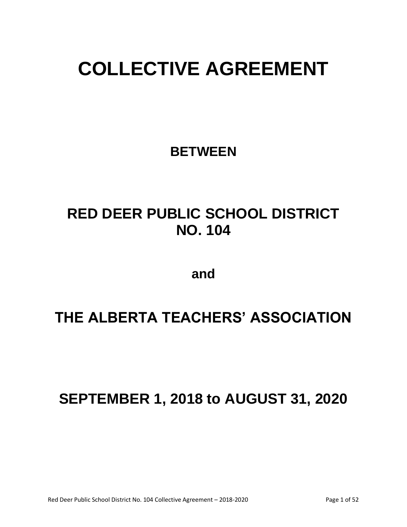# **COLLECTIVE AGREEMENT**

**BETWEEN**

## **RED DEER PUBLIC SCHOOL DISTRICT NO. 104**

**and**

### **THE ALBERTA TEACHERS' ASSOCIATION**

**SEPTEMBER 1, 2018 to AUGUST 31, 2020**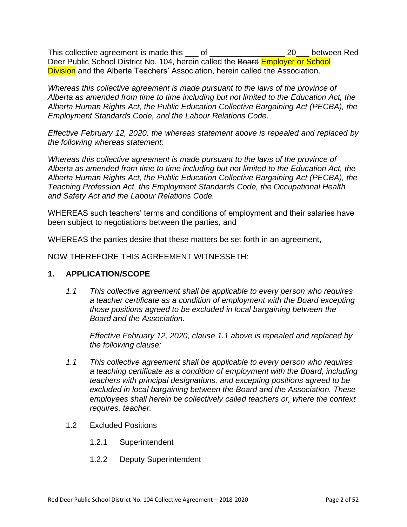This collective agreement is made this \_\_\_ of \_\_\_\_\_\_\_\_\_\_\_\_\_\_\_\_\_\_\_\_\_\_ 20\_\_\_ between Red Deer Public School District No. 104, herein called the Board Employer or School **Division** and the Alberta Teachers' Association, herein called the Association.

*Whereas this collective agreement is made pursuant to the laws of the province of Alberta as amended from time to time including but not limited to the Education Act, the Alberta Human Rights Act, the Public Education Collective Bargaining Act (PECBA), the Employment Standards Code, and the Labour Relations Code.*

*Effective February 12, 2020, the whereas statement above is repealed and replaced by the following whereas statement:*

*Whereas this collective agreement is made pursuant to the laws of the province of Alberta as amended from time to time including but not limited to the Education Act, the Alberta Human Rights Act, the Public Education Collective Bargaining Act (PECBA), the Teaching Profession Act, the Employment Standards Code, the Occupational Health and Safety Act and the Labour Relations Code.*

WHEREAS such teachers' terms and conditions of employment and their salaries have been subject to negotiations between the parties, and

WHEREAS the parties desire that these matters be set forth in an agreement,

NOW THEREFORE THIS AGREEMENT WITNESSETH:

#### **1. APPLICATION/SCOPE**

*1.1 This collective agreement shall be applicable to every person who requires a teacher certificate as a condition of employment with the Board excepting those positions agreed to be excluded in local bargaining between the Board and the Association.*

*Effective February 12, 2020, clause 1.1 above is repealed and replaced by the following clause:*

- *1.1 This collective agreement shall be applicable to every person who requires a teaching certificate as a condition of employment with the Board, including teachers with principal designations, and excepting positions agreed to be excluded in local bargaining between the Board and the Association. These employees shall herein be collectively called teachers or, where the context requires, teacher.*
- 1.2 Excluded Positions
	- 1.2.1 Superintendent
	- 1.2.2 Deputy Superintendent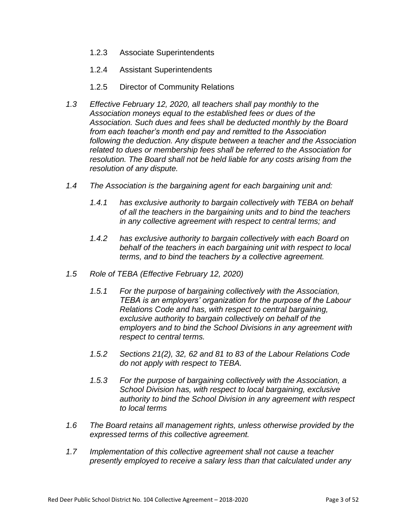- 1.2.3 Associate Superintendents
- 1.2.4 Assistant Superintendents
- 1.2.5 Director of Community Relations
- *1.3 Effective February 12, 2020, all teachers shall pay monthly to the Association moneys equal to the established fees or dues of the Association. Such dues and fees shall be deducted monthly by the Board from each teacher's month end pay and remitted to the Association following the deduction. Any dispute between a teacher and the Association related to dues or membership fees shall be referred to the Association for resolution. The Board shall not be held liable for any costs arising from the resolution of any dispute.*
- *1.4 The Association is the bargaining agent for each bargaining unit and:*
	- *1.4.1 has exclusive authority to bargain collectively with TEBA on behalf of all the teachers in the bargaining units and to bind the teachers in any collective agreement with respect to central terms; and*
	- *1.4.2 has exclusive authority to bargain collectively with each Board on behalf of the teachers in each bargaining unit with respect to local terms, and to bind the teachers by a collective agreement.*
- *1.5 Role of TEBA (Effective February 12, 2020)*
	- *1.5.1 For the purpose of bargaining collectively with the Association, TEBA is an employers' organization for the purpose of the Labour Relations Code and has, with respect to central bargaining, exclusive authority to bargain collectively on behalf of the employers and to bind the School Divisions in any agreement with respect to central terms.*
	- *1.5.2 Sections 21(2), 32, 62 and 81 to 83 of the Labour Relations Code do not apply with respect to TEBA.*
	- *1.5.3 For the purpose of bargaining collectively with the Association, a School Division has, with respect to local bargaining, exclusive authority to bind the School Division in any agreement with respect to local terms*
- *1.6 The Board retains all management rights, unless otherwise provided by the expressed terms of this collective agreement.*
- *1.7 Implementation of this collective agreement shall not cause a teacher presently employed to receive a salary less than that calculated under any*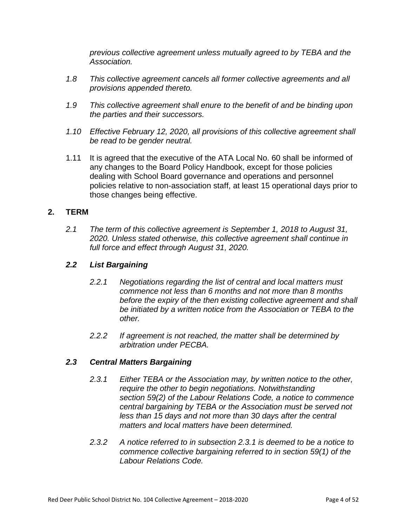*previous collective agreement unless mutually agreed to by TEBA and the Association.*

- *1.8 This collective agreement cancels all former collective agreements and all provisions appended thereto.*
- *1.9 This collective agreement shall enure to the benefit of and be binding upon the parties and their successors.*
- *1.10 Effective February 12, 2020, all provisions of this collective agreement shall be read to be gender neutral.*
- 1.11 It is agreed that the executive of the ATA Local No. 60 shall be informed of any changes to the Board Policy Handbook, except for those policies dealing with School Board governance and operations and personnel policies relative to non-association staff, at least 15 operational days prior to those changes being effective.

#### **2. TERM**

*2.1 The term of this collective agreement is September 1, 2018 to August 31, 2020. Unless stated otherwise, this collective agreement shall continue in full force and effect through August 31, 2020.*

#### *2.2 List Bargaining*

- *2.2.1 Negotiations regarding the list of central and local matters must commence not less than 6 months and not more than 8 months before the expiry of the then existing collective agreement and shall be initiated by a written notice from the Association or TEBA to the other.*
- *2.2.2 If agreement is not reached, the matter shall be determined by arbitration under PECBA.*

#### *2.3 Central Matters Bargaining*

- *2.3.1 Either TEBA or the Association may, by written notice to the other, require the other to begin negotiations. Notwithstanding section 59(2) of the Labour Relations Code, a notice to commence central bargaining by TEBA or the Association must be served not less than 15 days and not more than 30 days after the central matters and local matters have been determined.*
- *2.3.2 A notice referred to in subsection 2.3.1 is deemed to be a notice to commence collective bargaining referred to in section 59(1) of the Labour Relations Code.*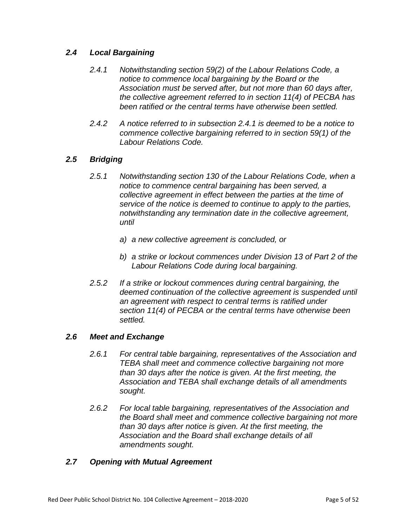#### *2.4 Local Bargaining*

- *2.4.1 Notwithstanding section 59(2) of the Labour Relations Code, a notice to commence local bargaining by the Board or the Association must be served after, but not more than 60 days after, the collective agreement referred to in section 11(4) of PECBA has been ratified or the central terms have otherwise been settled.*
- *2.4.2 A notice referred to in subsection 2.4.1 is deemed to be a notice to commence collective bargaining referred to in section 59(1) of the Labour Relations Code.*

#### *2.5 Bridging*

- *2.5.1 Notwithstanding section 130 of the Labour Relations Code, when a notice to commence central bargaining has been served, a collective agreement in effect between the parties at the time of service of the notice is deemed to continue to apply to the parties, notwithstanding any termination date in the collective agreement, until*
	- *a) a new collective agreement is concluded, or*
	- *b) a strike or lockout commences under Division 13 of Part 2 of the Labour Relations Code during local bargaining.*
- *2.5.2 If a strike or lockout commences during central bargaining, the deemed continuation of the collective agreement is suspended until an agreement with respect to central terms is ratified under section 11(4) of PECBA or the central terms have otherwise been settled.*

#### *2.6 Meet and Exchange*

- *2.6.1 For central table bargaining, representatives of the Association and TEBA shall meet and commence collective bargaining not more than 30 days after the notice is given. At the first meeting, the Association and TEBA shall exchange details of all amendments sought.*
- *2.6.2 For local table bargaining, representatives of the Association and the Board shall meet and commence collective bargaining not more than 30 days after notice is given. At the first meeting, the Association and the Board shall exchange details of all amendments sought.*

#### *2.7 Opening with Mutual Agreement*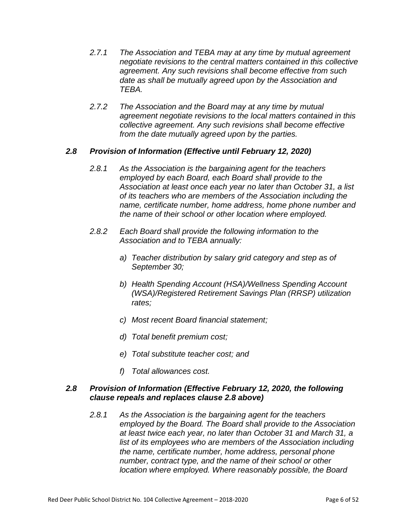- *2.7.1 The Association and TEBA may at any time by mutual agreement negotiate revisions to the central matters contained in this collective agreement. Any such revisions shall become effective from such date as shall be mutually agreed upon by the Association and TEBA.*
- *2.7.2 The Association and the Board may at any time by mutual agreement negotiate revisions to the local matters contained in this collective agreement. Any such revisions shall become effective from the date mutually agreed upon by the parties.*

#### *2.8 Provision of Information (Effective until February 12, 2020)*

- *2.8.1 As the Association is the bargaining agent for the teachers employed by each Board, each Board shall provide to the Association at least once each year no later than October 31, a list of its teachers who are members of the Association including the name, certificate number, home address, home phone number and the name of their school or other location where employed.*
- *2.8.2 Each Board shall provide the following information to the Association and to TEBA annually:*
	- *a) Teacher distribution by salary grid category and step as of September 30;*
	- *b) Health Spending Account (HSA)/Wellness Spending Account (WSA)/Registered Retirement Savings Plan (RRSP) utilization rates;*
	- *c) Most recent Board financial statement;*
	- *d) Total benefit premium cost;*
	- *e) Total substitute teacher cost; and*
	- *f) Total allowances cost.*

#### *2.8 Provision of Information (Effective February 12, 2020, the following clause repeals and replaces clause 2.8 above)*

*2.8.1 As the Association is the bargaining agent for the teachers employed by the Board. The Board shall provide to the Association at least twice each year, no later than October 31 and March 31, a list of its employees who are members of the Association including the name, certificate number, home address, personal phone number, contract type, and the name of their school or other location where employed. Where reasonably possible, the Board*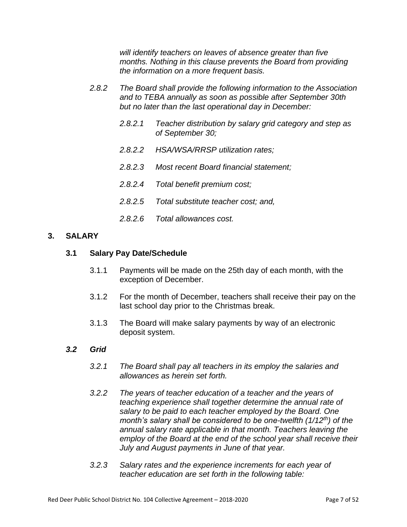*will identify teachers on leaves of absence greater than five months. Nothing in this clause prevents the Board from providing the information on a more frequent basis.* 

- *2.8.2 The Board shall provide the following information to the Association and to TEBA annually as soon as possible after September 30th but no later than the last operational day in December:*
	- *2.8.2.1 Teacher distribution by salary grid category and step as of September 30;*
	- *2.8.2.2 HSA/WSA/RRSP utilization rates;*
	- *2.8.2.3 Most recent Board financial statement;*
	- *2.8.2.4 Total benefit premium cost;*
	- *2.8.2.5 Total substitute teacher cost; and,*
	- *2.8.2.6 Total allowances cost.*

#### **3. SALARY**

#### **3.1 Salary Pay Date/Schedule**

- 3.1.1 Payments will be made on the 25th day of each month, with the exception of December.
- 3.1.2 For the month of December, teachers shall receive their pay on the last school day prior to the Christmas break.
- 3.1.3 The Board will make salary payments by way of an electronic deposit system.

#### *3.2 Grid*

- *3.2.1 The Board shall pay all teachers in its employ the salaries and allowances as herein set forth.*
- *3.2.2 The years of teacher education of a teacher and the years of teaching experience shall together determine the annual rate of salary to be paid to each teacher employed by the Board. One month's salary shall be considered to be one-twelfth (1/12th) of the annual salary rate applicable in that month. Teachers leaving the employ of the Board at the end of the school year shall receive their July and August payments in June of that year.*
- *3.2.3 Salary rates and the experience increments for each year of teacher education are set forth in the following table:*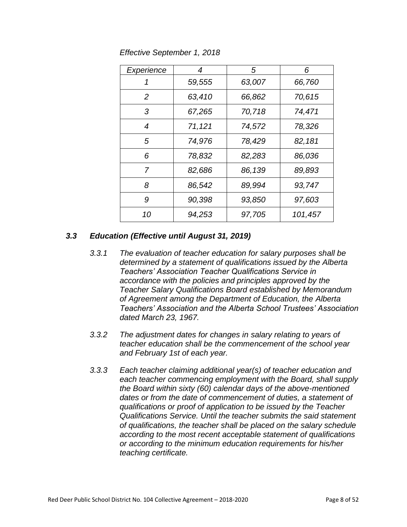*Effective September 1, 2018*

| Experience     | 4       | 5      | 6       |
|----------------|---------|--------|---------|
| 1              | 59,555  | 63,007 | 66,760  |
| 2              | 63,410  | 66,862 | 70,615  |
| 3              | 67,265  | 70,718 | 74,471  |
| 4              | 71, 121 | 74,572 | 78,326  |
| 5              | 74,976  | 78,429 | 82,181  |
| 6              | 78,832  | 82,283 | 86,036  |
| $\overline{7}$ | 82,686  | 86,139 | 89,893  |
| 8              | 86,542  | 89,994 | 93,747  |
| 9              | 90,398  | 93,850 | 97,603  |
| 10             | 94,253  | 97,705 | 101,457 |

#### *3.3 Education (Effective until August 31, 2019)*

- *3.3.1 The evaluation of teacher education for salary purposes shall be determined by a statement of qualifications issued by the Alberta Teachers' Association Teacher Qualifications Service in accordance with the policies and principles approved by the Teacher Salary Qualifications Board established by Memorandum of Agreement among the Department of Education, the Alberta Teachers' Association and the Alberta School Trustees' Association dated March 23, 1967.*
- *3.3.2 The adjustment dates for changes in salary relating to years of teacher education shall be the commencement of the school year and February 1st of each year.*
- *3.3.3 Each teacher claiming additional year(s) of teacher education and each teacher commencing employment with the Board, shall supply the Board within sixty (60) calendar days of the above-mentioned dates or from the date of commencement of duties, a statement of qualifications or proof of application to be issued by the Teacher Qualifications Service. Until the teacher submits the said statement of qualifications, the teacher shall be placed on the salary schedule according to the most recent acceptable statement of qualifications or according to the minimum education requirements for his/her teaching certificate.*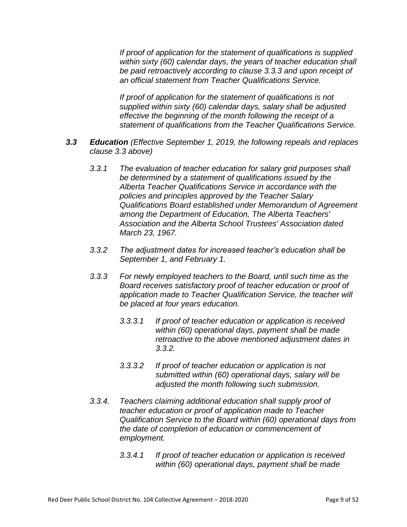*If proof of application for the statement of qualifications is supplied within sixty (60) calendar days, the years of teacher education shall be paid retroactively according to clause 3.3.3 and upon receipt of an official statement from Teacher Qualifications Service.*

*If proof of application for the statement of qualifications is not supplied within sixty (60) calendar days, salary shall be adjusted effective the beginning of the month following the receipt of a statement of qualifications from the Teacher Qualifications Service.*

- *3.3 Education (Effective September 1, 2019, the following repeals and replaces clause 3.3 above)*
	- *3.3.1 The evaluation of teacher education for salary grid purposes shall be determined by a statement of qualifications issued by the Alberta Teacher Qualifications Service in accordance with the policies and principles approved by the Teacher Salary Qualifications Board established under Memorandum of Agreement among the Department of Education, The Alberta Teachers' Association and the Alberta School Trustees' Association dated March 23, 1967.*
	- *3.3.2 The adjustment dates for increased teacher's education shall be September 1, and February 1.*
	- *3.3.3 For newly employed teachers to the Board, until such time as the Board receives satisfactory proof of teacher education or proof of application made to Teacher Qualification Service, the teacher will be placed at four years education.* 
		- *3.3.3.1 If proof of teacher education or application is received within (60) operational days, payment shall be made retroactive to the above mentioned adjustment dates in 3.3.2.*
		- *3.3.3.2 If proof of teacher education or application is not submitted within (60) operational days, salary will be adjusted the month following such submission.*
	- *3.3.4. Teachers claiming additional education shall supply proof of teacher education or proof of application made to Teacher Qualification Service to the Board within (60) operational days from the date of completion of education or commencement of employment.* 
		- *3.3.4.1 If proof of teacher education or application is received within (60) operational days, payment shall be made*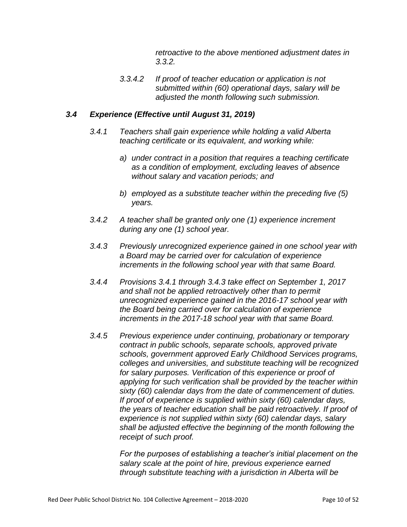*retroactive to the above mentioned adjustment dates in 3.3.2.* 

*3.3.4.2 If proof of teacher education or application is not submitted within (60) operational days, salary will be adjusted the month following such submission.*

#### *3.4 Experience (Effective until August 31, 2019)*

- *3.4.1 Teachers shall gain experience while holding a valid Alberta teaching certificate or its equivalent, and working while:*
	- *a) under contract in a position that requires a teaching certificate as a condition of employment, excluding leaves of absence without salary and vacation periods; and*
	- *b) employed as a substitute teacher within the preceding five (5) years.*
- *3.4.2 A teacher shall be granted only one (1) experience increment during any one (1) school year.*
- *3.4.3 Previously unrecognized experience gained in one school year with a Board may be carried over for calculation of experience increments in the following school year with that same Board.*
- *3.4.4 Provisions 3.4.1 through 3.4.3 take effect on September 1, 2017 and shall not be applied retroactively other than to permit unrecognized experience gained in the 2016-17 school year with the Board being carried over for calculation of experience increments in the 2017-18 school year with that same Board.*
- *3.4.5 Previous experience under continuing, probationary or temporary contract in public schools, separate schools, approved private schools, government approved Early Childhood Services programs, colleges and universities, and substitute teaching will be recognized for salary purposes. Verification of this experience or proof of applying for such verification shall be provided by the teacher within sixty (60) calendar days from the date of commencement of duties. If proof of experience is supplied within sixty (60) calendar days, the years of teacher education shall be paid retroactively. If proof of experience is not supplied within sixty (60) calendar days, salary shall be adjusted effective the beginning of the month following the receipt of such proof.*

*For the purposes of establishing a teacher's initial placement on the salary scale at the point of hire, previous experience earned through substitute teaching with a jurisdiction in Alberta will be*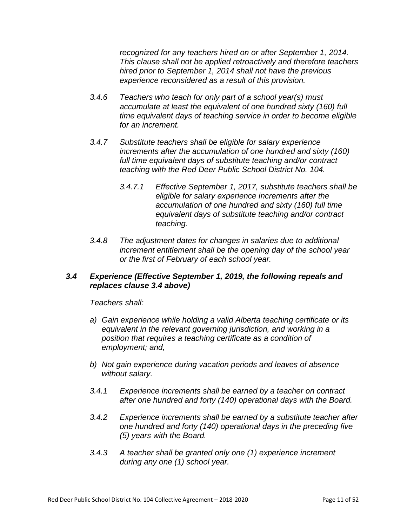*recognized for any teachers hired on or after September 1, 2014. This clause shall not be applied retroactively and therefore teachers hired prior to September 1, 2014 shall not have the previous experience reconsidered as a result of this provision.*

- *3.4.6 Teachers who teach for only part of a school year(s) must accumulate at least the equivalent of one hundred sixty (160) full time equivalent days of teaching service in order to become eligible for an increment.*
- *3.4.7 Substitute teachers shall be eligible for salary experience increments after the accumulation of one hundred and sixty (160) full time equivalent days of substitute teaching and/or contract teaching with the Red Deer Public School District No. 104.*
	- *3.4.7.1 Effective September 1, 2017, substitute teachers shall be eligible for salary experience increments after the accumulation of one hundred and sixty (160) full time equivalent days of substitute teaching and/or contract teaching.*
- *3.4.8 The adjustment dates for changes in salaries due to additional increment entitlement shall be the opening day of the school year or the first of February of each school year.*

#### *3.4 Experience (Effective September 1, 2019, the following repeals and replaces clause 3.4 above)*

*Teachers shall:*

- *a) Gain experience while holding a valid Alberta teaching certificate or its equivalent in the relevant governing jurisdiction, and working in a position that requires a teaching certificate as a condition of employment; and,*
- *b) Not gain experience during vacation periods and leaves of absence without salary.*
- *3.4.1 Experience increments shall be earned by a teacher on contract after one hundred and forty (140) operational days with the Board.*
- *3.4.2 Experience increments shall be earned by a substitute teacher after one hundred and forty (140) operational days in the preceding five (5) years with the Board.*
- *3.4.3 A teacher shall be granted only one (1) experience increment during any one (1) school year.*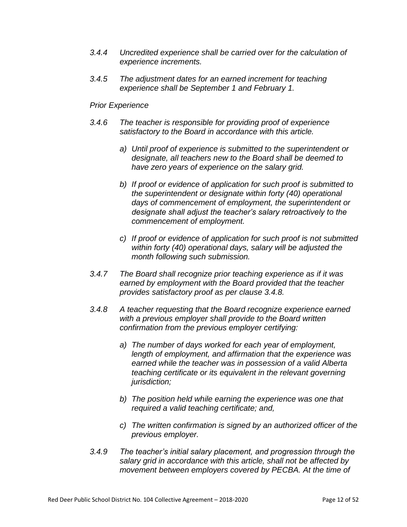- *3.4.4 Uncredited experience shall be carried over for the calculation of experience increments.*
- *3.4.5 The adjustment dates for an earned increment for teaching experience shall be September 1 and February 1.*

#### *Prior Experience*

- *3.4.6 The teacher is responsible for providing proof of experience satisfactory to the Board in accordance with this article.*
	- *a) Until proof of experience is submitted to the superintendent or designate, all teachers new to the Board shall be deemed to have zero years of experience on the salary grid.*
	- *b) If proof or evidence of application for such proof is submitted to the superintendent or designate within forty (40) operational days of commencement of employment, the superintendent or designate shall adjust the teacher's salary retroactively to the commencement of employment.*
	- *c) If proof or evidence of application for such proof is not submitted within forty (40) operational days, salary will be adjusted the month following such submission.*
- *3.4.7 The Board shall recognize prior teaching experience as if it was earned by employment with the Board provided that the teacher provides satisfactory proof as per clause 3.4.8.*
- *3.4.8 A teacher requesting that the Board recognize experience earned with a previous employer shall provide to the Board written confirmation from the previous employer certifying:*
	- *a) The number of days worked for each year of employment, length of employment, and affirmation that the experience was earned while the teacher was in possession of a valid Alberta teaching certificate or its equivalent in the relevant governing jurisdiction;*
	- *b) The position held while earning the experience was one that required a valid teaching certificate; and,*
	- *c) The written confirmation is signed by an authorized officer of the previous employer.*
- *3.4.9 The teacher's initial salary placement, and progression through the salary grid in accordance with this article, shall not be affected by movement between employers covered by PECBA. At the time of*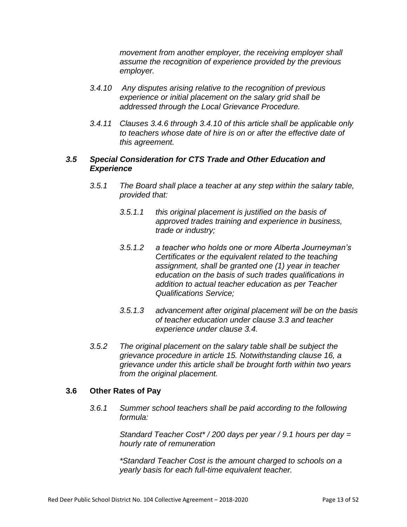*movement from another employer, the receiving employer shall assume the recognition of experience provided by the previous employer.*

- *3.4.10 Any disputes arising relative to the recognition of previous experience or initial placement on the salary grid shall be addressed through the Local Grievance Procedure.*
- *3.4.11 Clauses 3.4.6 through 3.4.10 of this article shall be applicable only to teachers whose date of hire is on or after the effective date of this agreement.*

#### *3.5 Special Consideration for CTS Trade and Other Education and Experience*

- *3.5.1 The Board shall place a teacher at any step within the salary table, provided that:*
	- *3.5.1.1 this original placement is justified on the basis of approved trades training and experience in business, trade or industry;*
	- *3.5.1.2 a teacher who holds one or more Alberta Journeyman's Certificates or the equivalent related to the teaching assignment, shall be granted one (1) year in teacher education on the basis of such trades qualifications in addition to actual teacher education as per Teacher Qualifications Service;*
	- *3.5.1.3 advancement after original placement will be on the basis of teacher education under clause 3.3 and teacher experience under clause 3.4.*
- *3.5.2 The original placement on the salary table shall be subject the grievance procedure in article 15. Notwithstanding clause 16, a grievance under this article shall be brought forth within two years from the original placement.*

#### **3.6 Other Rates of Pay**

*3.6.1 Summer school teachers shall be paid according to the following formula:*

> *Standard Teacher Cost\* / 200 days per year / 9.1 hours per day = hourly rate of remuneration*

*\*Standard Teacher Cost is the amount charged to schools on a yearly basis for each full-time equivalent teacher.*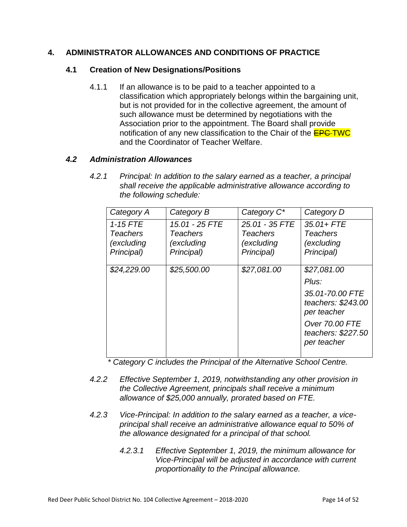#### **4. ADMINISTRATOR ALLOWANCES AND CONDITIONS OF PRACTICE**

#### **4.1 Creation of New Designations/Positions**

4.1.1 If an allowance is to be paid to a teacher appointed to a classification which appropriately belongs within the bargaining unit, but is not provided for in the collective agreement, the amount of such allowance must be determined by negotiations with the Association prior to the appointment. The Board shall provide notification of any new classification to the Chair of the **EPC-TWC** and the Coordinator of Teacher Welfare.

#### *4.2 Administration Allowances*

*4.2.1 Principal: In addition to the salary earned as a teacher, a principal shall receive the applicable administrative allowance according to the following schedule:*

| Category A      | Category B     | Category C <sup>*</sup> | Category D                                           |
|-----------------|----------------|-------------------------|------------------------------------------------------|
| $1-15$ FTE      | 15.01 - 25 FTE | 25.01 - 35 FTE          | $35.01 + FTE$                                        |
| <b>Teachers</b> | Teachers       | <b>Teachers</b>         | <b>Teachers</b>                                      |
| (excluding      | (excluding     | (excluding              | (excluding                                           |
| Principal)      | Principal)     | Principal)              | Principal)                                           |
|                 |                |                         |                                                      |
| \$24,229.00     | \$25,500.00    | \$27,081.00             | \$27,081.00                                          |
|                 |                |                         | Plus:                                                |
|                 |                |                         | 35.01-70.00 FTE<br>teachers: \$243.00<br>per teacher |
|                 |                |                         | Over 70.00 FTE<br>teachers: \$227.50<br>per teacher  |
|                 |                |                         |                                                      |

*\* Category C includes the Principal of the Alternative School Centre.*

- *4.2.2 Effective September 1, 2019, notwithstanding any other provision in the Collective Agreement, principals shall receive a minimum allowance of \$25,000 annually, prorated based on FTE.*
- *4.2.3 Vice-Principal: In addition to the salary earned as a teacher, a viceprincipal shall receive an administrative allowance equal to 50% of the allowance designated for a principal of that school.*
	- *4.2.3.1 Effective September 1, 2019, the minimum allowance for Vice-Principal will be adjusted in accordance with current proportionality to the Principal allowance.*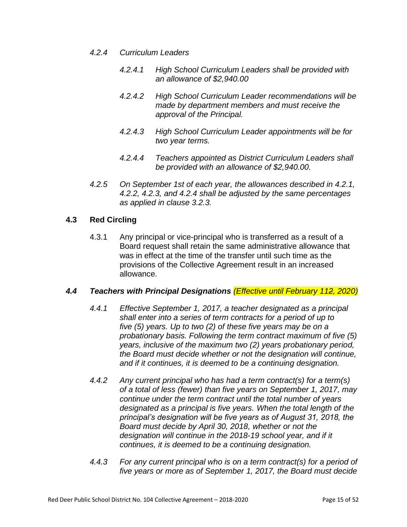- *4.2.4 Curriculum Leaders*
	- *4.2.4.1 High School Curriculum Leaders shall be provided with an allowance of \$2,940.00*
	- *4.2.4.2 High School Curriculum Leader recommendations will be made by department members and must receive the approval of the Principal.*
	- *4.2.4.3 High School Curriculum Leader appointments will be for two year terms.*
	- *4.2.4.4 Teachers appointed as District Curriculum Leaders shall be provided with an allowance of \$2,940.00.*
- *4.2.5 On September 1st of each year, the allowances described in 4.2.1, 4.2.2, 4.2.3, and 4.2.4 shall be adjusted by the same percentages as applied in clause 3.2.3.*

#### **4.3 Red Circling**

4.3.1 Any principal or vice-principal who is transferred as a result of a Board request shall retain the same administrative allowance that was in effect at the time of the transfer until such time as the provisions of the Collective Agreement result in an increased allowance.

#### *4.4 Teachers with Principal Designations (Effective until February 112, 2020)*

- *4.4.1 Effective September 1, 2017, a teacher designated as a principal shall enter into a series of term contracts for a period of up to five (5) years. Up to two (2) of these five years may be on a probationary basis. Following the term contract maximum of five (5) years, inclusive of the maximum two (2) years probationary period, the Board must decide whether or not the designation will continue, and if it continues, it is deemed to be a continuing designation.*
- *4.4.2 Any current principal who has had a term contract(s) for a term(s) of a total of less (fewer) than five years on September 1, 2017, may continue under the term contract until the total number of years designated as a principal is five years. When the total length of the principal's designation will be five years as of August 31, 2018, the Board must decide by April 30, 2018, whether or not the designation will continue in the 2018-19 school year, and if it continues, it is deemed to be a continuing designation.*
- *4.4.3 For any current principal who is on a term contract(s) for a period of five years or more as of September 1, 2017, the Board must decide*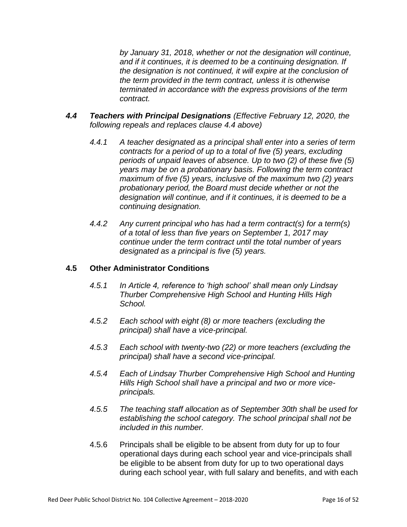*by January 31, 2018, whether or not the designation will continue, and if it continues, it is deemed to be a continuing designation. If the designation is not continued, it will expire at the conclusion of the term provided in the term contract, unless it is otherwise terminated in accordance with the express provisions of the term contract.*

- *4.4 Teachers with Principal Designations (Effective February 12, 2020, the following repeals and replaces clause 4.4 above)*
	- *4.4.1 A teacher designated as a principal shall enter into a series of term contracts for a period of up to a total of five (5) years, excluding periods of unpaid leaves of absence. Up to two (2) of these five (5) years may be on a probationary basis. Following the term contract maximum of five (5) years, inclusive of the maximum two (2) years probationary period, the Board must decide whether or not the designation will continue, and if it continues, it is deemed to be a continuing designation.*
	- *4.4.2 Any current principal who has had a term contract(s) for a term(s) of a total of less than five years on September 1, 2017 may continue under the term contract until the total number of years designated as a principal is five (5) years.*

#### **4.5 Other Administrator Conditions**

- *4.5.1 In Article 4, reference to 'high school' shall mean only Lindsay Thurber Comprehensive High School and Hunting Hills High School.*
- *4.5.2 Each school with eight (8) or more teachers (excluding the principal) shall have a vice-principal.*
- *4.5.3 Each school with twenty-two (22) or more teachers (excluding the principal) shall have a second vice-principal.*
- *4.5.4 Each of Lindsay Thurber Comprehensive High School and Hunting Hills High School shall have a principal and two or more viceprincipals.*
- *4.5.5 The teaching staff allocation as of September 30th shall be used for establishing the school category. The school principal shall not be included in this number.*
- 4.5.6 Principals shall be eligible to be absent from duty for up to four operational days during each school year and vice-principals shall be eligible to be absent from duty for up to two operational days during each school year, with full salary and benefits, and with each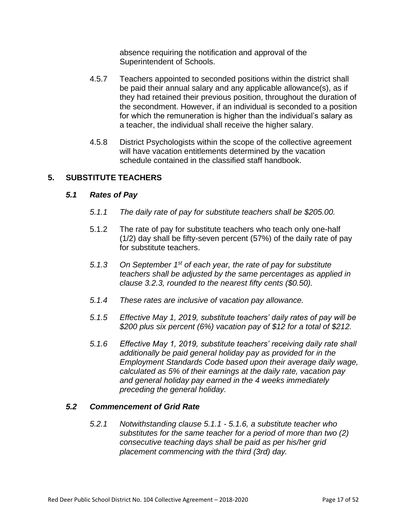absence requiring the notification and approval of the Superintendent of Schools.

- 4.5.7 Teachers appointed to seconded positions within the district shall be paid their annual salary and any applicable allowance(s), as if they had retained their previous position, throughout the duration of the secondment. However, if an individual is seconded to a position for which the remuneration is higher than the individual's salary as a teacher, the individual shall receive the higher salary.
- 4.5.8 District Psychologists within the scope of the collective agreement will have vacation entitlements determined by the vacation schedule contained in the classified staff handbook.

#### **5. SUBSTITUTE TEACHERS**

#### *5.1 Rates of Pay*

- *5.1.1 The daily rate of pay for substitute teachers shall be \$205.00.*
- 5.1.2 The rate of pay for substitute teachers who teach only one-half (1/2) day shall be fifty-seven percent (57%) of the daily rate of pay for substitute teachers.
- *5.1.3 On September 1st of each year, the rate of pay for substitute teachers shall be adjusted by the same percentages as applied in clause 3.2.3, rounded to the nearest fifty cents (\$0.50).*
- *5.1.4 These rates are inclusive of vacation pay allowance.*
- *5.1.5 Effective May 1, 2019, substitute teachers' daily rates of pay will be \$200 plus six percent (6%) vacation pay of \$12 for a total of \$212.*
- *5.1.6 Effective May 1, 2019, substitute teachers' receiving daily rate shall additionally be paid general holiday pay as provided for in the Employment Standards Code based upon their average daily wage, calculated as 5% of their earnings at the daily rate, vacation pay and general holiday pay earned in the 4 weeks immediately preceding the general holiday.*

#### *5.2 Commencement of Grid Rate*

*5.2.1 Notwithstanding clause 5.1.1 - 5.1.6, a substitute teacher who substitutes for the same teacher for a period of more than two (2) consecutive teaching days shall be paid as per his/her grid placement commencing with the third (3rd) day.*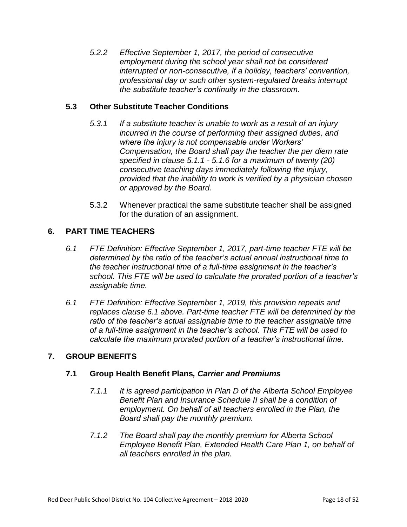*5.2.2 Effective September 1, 2017, the period of consecutive employment during the school year shall not be considered interrupted or non-consecutive, if a holiday, teachers' convention, professional day or such other system-regulated breaks interrupt the substitute teacher's continuity in the classroom.*

#### **5.3 Other Substitute Teacher Conditions**

- *5.3.1 If a substitute teacher is unable to work as a result of an injury incurred in the course of performing their assigned duties, and where the injury is not compensable under Workers' Compensation, the Board shall pay the teacher the per diem rate specified in clause 5.1.1 - 5.1.6 for a maximum of twenty (20) consecutive teaching days immediately following the injury, provided that the inability to work is verified by a physician chosen or approved by the Board.*
- 5.3.2 Whenever practical the same substitute teacher shall be assigned for the duration of an assignment.

#### **6. PART TIME TEACHERS**

- *6.1 FTE Definition: Effective September 1, 2017, part-time teacher FTE will be determined by the ratio of the teacher's actual annual instructional time to the teacher instructional time of a full-time assignment in the teacher's school. This FTE will be used to calculate the prorated portion of a teacher's assignable time.*
- *6.1 FTE Definition: Effective September 1, 2019, this provision repeals and replaces clause 6.1 above. Part-time teacher FTE will be determined by the ratio of the teacher's actual assignable time to the teacher assignable time of a full-time assignment in the teacher's school. This FTE will be used to calculate the maximum prorated portion of a teacher's instructional time.*

#### **7. GROUP BENEFITS**

#### **7.1 Group Health Benefit Plans***, Carrier and Premiums*

- *7.1.1 It is agreed participation in Plan D of the Alberta School Employee Benefit Plan and Insurance Schedule II shall be a condition of employment. On behalf of all teachers enrolled in the Plan, the Board shall pay the monthly premium.*
- *7.1.2 The Board shall pay the monthly premium for Alberta School Employee Benefit Plan, Extended Health Care Plan 1, on behalf of all teachers enrolled in the plan.*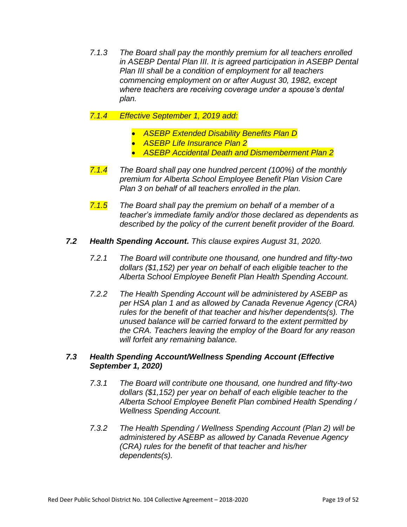*7.1.3 The Board shall pay the monthly premium for all teachers enrolled in ASEBP Dental Plan III. It is agreed participation in ASEBP Dental Plan III shall be a condition of employment for all teachers commencing employment on or after August 30, 1982, except where teachers are receiving coverage under a spouse's dental plan.*

#### *7.1.4 Effective September 1, 2019 add:*

- *ASEBP Extended Disability Benefits Plan D*
- *ASEBP Life Insurance Plan 2*
- *ASEBP Accidental Death and Dismemberment Plan 2*
- *7.1.4 The Board shall pay one hundred percent (100%) of the monthly premium for Alberta School Employee Benefit Plan Vision Care Plan 3 on behalf of all teachers enrolled in the plan.*
- *7.1.5 The Board shall pay the premium on behalf of a member of a teacher's immediate family and/or those declared as dependents as described by the policy of the current benefit provider of the Board.*
- *7.2 Health Spending Account. This clause expires August 31, 2020.*
	- *7.2.1 The Board will contribute one thousand, one hundred and fifty-two dollars (\$1,152) per year on behalf of each eligible teacher to the Alberta School Employee Benefit Plan Health Spending Account.*
	- *7.2.2 The Health Spending Account will be administered by ASEBP as per HSA plan 1 and as allowed by Canada Revenue Agency (CRA) rules for the benefit of that teacher and his/her dependents(s). The unused balance will be carried forward to the extent permitted by the CRA. Teachers leaving the employ of the Board for any reason will forfeit any remaining balance.*

#### *7.3 Health Spending Account/Wellness Spending Account (Effective September 1, 2020)*

- *7.3.1 The Board will contribute one thousand, one hundred and fifty-two dollars (\$1,152) per year on behalf of each eligible teacher to the Alberta School Employee Benefit Plan combined Health Spending / Wellness Spending Account.*
- *7.3.2 The Health Spending / Wellness Spending Account (Plan 2) will be administered by ASEBP as allowed by Canada Revenue Agency (CRA) rules for the benefit of that teacher and his/her dependents(s).*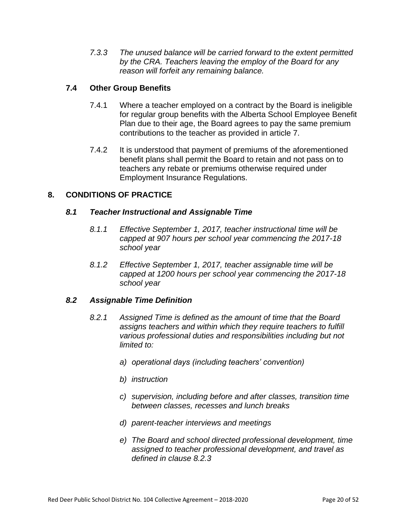*7.3.3 The unused balance will be carried forward to the extent permitted by the CRA. Teachers leaving the employ of the Board for any reason will forfeit any remaining balance.*

#### **7.4 Other Group Benefits**

- 7.4.1 Where a teacher employed on a contract by the Board is ineligible for regular group benefits with the Alberta School Employee Benefit Plan due to their age, the Board agrees to pay the same premium contributions to the teacher as provided in article 7.
- 7.4.2 It is understood that payment of premiums of the aforementioned benefit plans shall permit the Board to retain and not pass on to teachers any rebate or premiums otherwise required under Employment Insurance Regulations.

#### **8. CONDITIONS OF PRACTICE**

#### *8.1 Teacher Instructional and Assignable Time*

- *8.1.1 Effective September 1, 2017, teacher instructional time will be capped at 907 hours per school year commencing the 2017-18 school year*
- *8.1.2 Effective September 1, 2017, teacher assignable time will be capped at 1200 hours per school year commencing the 2017-18 school year*

#### *8.2 Assignable Time Definition*

- *8.2.1 Assigned Time is defined as the amount of time that the Board assigns teachers and within which they require teachers to fulfill various professional duties and responsibilities including but not limited to:*
	- *a) operational days (including teachers' convention)*
	- *b) instruction*
	- *c) supervision, including before and after classes, transition time between classes, recesses and lunch breaks*
	- *d) parent-teacher interviews and meetings*
	- *e) The Board and school directed professional development, time assigned to teacher professional development, and travel as defined in clause 8.2.3*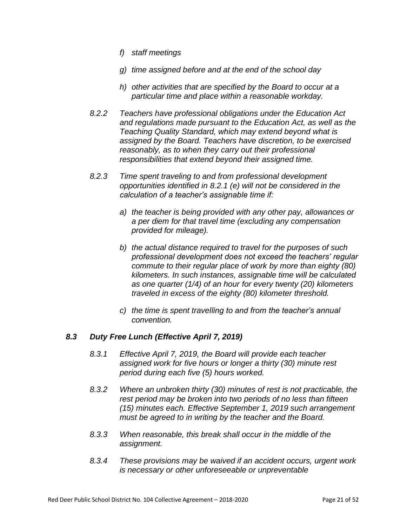- *f) staff meetings*
- *g) time assigned before and at the end of the school day*
- *h) other activities that are specified by the Board to occur at a particular time and place within a reasonable workday.*
- *8.2.2 Teachers have professional obligations under the Education Act and regulations made pursuant to the Education Act, as well as the Teaching Quality Standard, which may extend beyond what is assigned by the Board. Teachers have discretion, to be exercised reasonably, as to when they carry out their professional responsibilities that extend beyond their assigned time.*
- *8.2.3 Time spent traveling to and from professional development opportunities identified in 8.2.1 (e) will not be considered in the calculation of a teacher's assignable time if:*
	- *a) the teacher is being provided with any other pay, allowances or a per diem for that travel time (excluding any compensation provided for mileage).*
	- *b) the actual distance required to travel for the purposes of such professional development does not exceed the teachers' regular commute to their regular place of work by more than eighty (80) kilometers. In such instances, assignable time will be calculated as one quarter (1/4) of an hour for every twenty (20) kilometers traveled in excess of the eighty (80) kilometer threshold.*
	- *c) the time is spent travelling to and from the teacher's annual convention.*

#### *8.3 Duty Free Lunch (Effective April 7, 2019)*

- *8.3.1 Effective April 7, 2019, the Board will provide each teacher assigned work for five hours or longer a thirty (30) minute rest period during each five (5) hours worked.*
- *8.3.2 Where an unbroken thirty (30) minutes of rest is not practicable, the rest period may be broken into two periods of no less than fifteen (15) minutes each. Effective September 1, 2019 such arrangement must be agreed to in writing by the teacher and the Board.*
- *8.3.3 When reasonable, this break shall occur in the middle of the assignment.*
- *8.3.4 These provisions may be waived if an accident occurs, urgent work is necessary or other unforeseeable or unpreventable*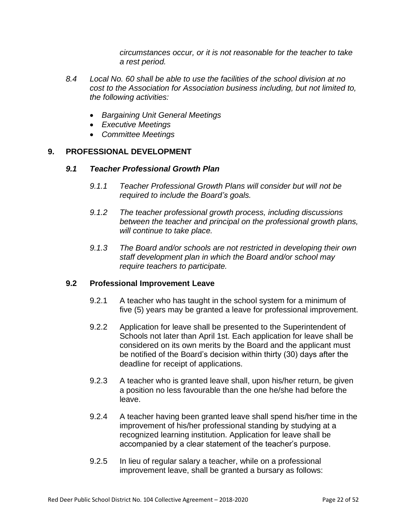*circumstances occur, or it is not reasonable for the teacher to take a rest period.*

- *8.4 Local No. 60 shall be able to use the facilities of the school division at no cost to the Association for Association business including, but not limited to, the following activities:*
	- *Bargaining Unit General Meetings*
	- *Executive Meetings*
	- *Committee Meetings*

#### **9. PROFESSIONAL DEVELOPMENT**

#### *9.1 Teacher Professional Growth Plan*

- *9.1.1 Teacher Professional Growth Plans will consider but will not be required to include the Board's goals.*
- *9.1.2 The teacher professional growth process, including discussions between the teacher and principal on the professional growth plans, will continue to take place.*
- *9.1.3 The Board and/or schools are not restricted in developing their own staff development plan in which the Board and/or school may require teachers to participate.*

#### **9.2 Professional Improvement Leave**

- 9.2.1 A teacher who has taught in the school system for a minimum of five (5) years may be granted a leave for professional improvement.
- 9.2.2 Application for leave shall be presented to the Superintendent of Schools not later than April 1st. Each application for leave shall be considered on its own merits by the Board and the applicant must be notified of the Board's decision within thirty (30) days after the deadline for receipt of applications.
- 9.2.3 A teacher who is granted leave shall, upon his/her return, be given a position no less favourable than the one he/she had before the leave.
- 9.2.4 A teacher having been granted leave shall spend his/her time in the improvement of his/her professional standing by studying at a recognized learning institution. Application for leave shall be accompanied by a clear statement of the teacher's purpose.
- 9.2.5 In lieu of regular salary a teacher, while on a professional improvement leave, shall be granted a bursary as follows: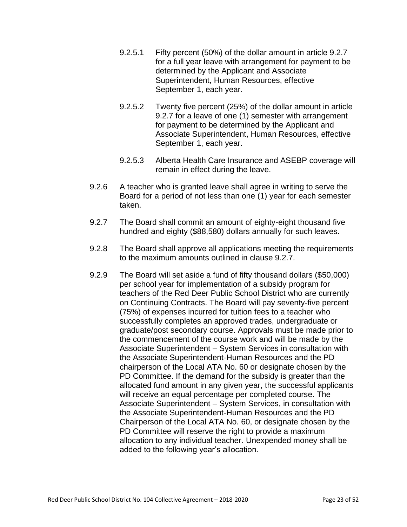- 9.2.5.1 Fifty percent (50%) of the dollar amount in article 9.2.7 for a full year leave with arrangement for payment to be determined by the Applicant and Associate Superintendent, Human Resources, effective September 1, each year.
- 9.2.5.2 Twenty five percent (25%) of the dollar amount in article 9.2.7 for a leave of one (1) semester with arrangement for payment to be determined by the Applicant and Associate Superintendent, Human Resources, effective September 1, each year.
- 9.2.5.3 Alberta Health Care Insurance and ASEBP coverage will remain in effect during the leave.
- 9.2.6 A teacher who is granted leave shall agree in writing to serve the Board for a period of not less than one (1) year for each semester taken.
- 9.2.7 The Board shall commit an amount of eighty-eight thousand five hundred and eighty (\$88,580) dollars annually for such leaves.
- 9.2.8 The Board shall approve all applications meeting the requirements to the maximum amounts outlined in clause 9.2.7.
- 9.2.9 The Board will set aside a fund of fifty thousand dollars (\$50,000) per school year for implementation of a subsidy program for teachers of the Red Deer Public School District who are currently on Continuing Contracts. The Board will pay seventy-five percent (75%) of expenses incurred for tuition fees to a teacher who successfully completes an approved trades, undergraduate or graduate/post secondary course. Approvals must be made prior to the commencement of the course work and will be made by the Associate Superintendent – System Services in consultation with the Associate Superintendent-Human Resources and the PD chairperson of the Local ATA No. 60 or designate chosen by the PD Committee. If the demand for the subsidy is greater than the allocated fund amount in any given year, the successful applicants will receive an equal percentage per completed course. The Associate Superintendent – System Services, in consultation with the Associate Superintendent-Human Resources and the PD Chairperson of the Local ATA No. 60, or designate chosen by the PD Committee will reserve the right to provide a maximum allocation to any individual teacher. Unexpended money shall be added to the following year's allocation.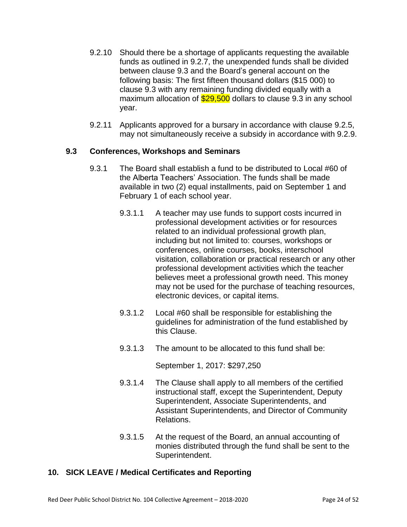- 9.2.10 Should there be a shortage of applicants requesting the available funds as outlined in 9.2.7, the unexpended funds shall be divided between clause 9.3 and the Board's general account on the following basis: The first fifteen thousand dollars (\$15 000) to clause 9.3 with any remaining funding divided equally with a maximum allocation of  $$29,500$  dollars to clause 9.3 in any school year.
- 9.2.11 Applicants approved for a bursary in accordance with clause 9.2.5, may not simultaneously receive a subsidy in accordance with 9.2.9.

#### **9.3 Conferences, Workshops and Seminars**

- 9.3.1 The Board shall establish a fund to be distributed to Local #60 of the Alberta Teachers' Association. The funds shall be made available in two (2) equal installments, paid on September 1 and February 1 of each school year.
	- 9.3.1.1 A teacher may use funds to support costs incurred in professional development activities or for resources related to an individual professional growth plan, including but not limited to: courses, workshops or conferences, online courses, books, interschool visitation, collaboration or practical research or any other professional development activities which the teacher believes meet a professional growth need. This money may not be used for the purchase of teaching resources, electronic devices, or capital items.
	- 9.3.1.2 Local #60 shall be responsible for establishing the guidelines for administration of the fund established by this Clause.
	- 9.3.1.3 The amount to be allocated to this fund shall be:

September 1, 2017: \$297,250

- 9.3.1.4 The Clause shall apply to all members of the certified instructional staff, except the Superintendent, Deputy Superintendent, Associate Superintendents, and Assistant Superintendents, and Director of Community Relations.
- 9.3.1.5 At the request of the Board, an annual accounting of monies distributed through the fund shall be sent to the Superintendent.

#### **10. SICK LEAVE / Medical Certificates and Reporting**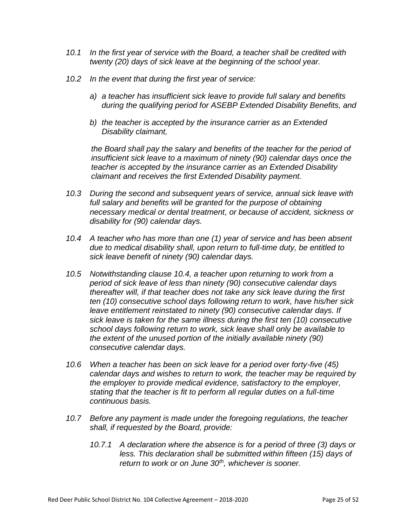- *10.1 In the first year of service with the Board, a teacher shall be credited with twenty (20) days of sick leave at the beginning of the school year.*
- *10.2 In the event that during the first year of service:*
	- *a) a teacher has insufficient sick leave to provide full salary and benefits during the qualifying period for ASEBP Extended Disability Benefits, and*
	- *b) the teacher is accepted by the insurance carrier as an Extended Disability claimant,*

*the Board shall pay the salary and benefits of the teacher for the period of insufficient sick leave to a maximum of ninety (90) calendar days once the teacher is accepted by the insurance carrier as an Extended Disability claimant and receives the first Extended Disability payment.*

- *10.3 During the second and subsequent years of service, annual sick leave with full salary and benefits will be granted for the purpose of obtaining necessary medical or dental treatment, or because of accident, sickness or disability for (90) calendar days.*
- *10.4 A teacher who has more than one (1) year of service and has been absent due to medical disability shall, upon return to full-time duty, be entitled to sick leave benefit of ninety (90) calendar days.*
- *10.5 Notwithstanding clause 10.4, a teacher upon returning to work from a period of sick leave of less than ninety (90) consecutive calendar days thereafter will, if that teacher does not take any sick leave during the first ten (10) consecutive school days following return to work, have his/her sick leave entitlement reinstated to ninety (90) consecutive calendar days. If sick leave is taken for the same illness during the first ten (10) consecutive school days following return to work, sick leave shall only be available to the extent of the unused portion of the initially available ninety (90) consecutive calendar days.*
- *10.6 When a teacher has been on sick leave for a period over forty-five (45) calendar days and wishes to return to work, the teacher may be required by the employer to provide medical evidence, satisfactory to the employer, stating that the teacher is fit to perform all regular duties on a full-time continuous basis.*
- *10.7 Before any payment is made under the foregoing regulations, the teacher shall, if requested by the Board, provide:*
	- *10.7.1 A declaration where the absence is for a period of three (3) days or less. This declaration shall be submitted within fifteen (15) days of return to work or on June 30th, whichever is sooner.*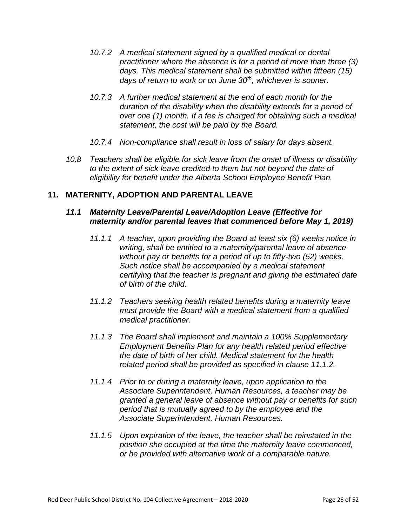- *10.7.2 A medical statement signed by a qualified medical or dental practitioner where the absence is for a period of more than three (3) days. This medical statement shall be submitted within fifteen (15) days of return to work or on June 30th, whichever is sooner.*
- *10.7.3 A further medical statement at the end of each month for the duration of the disability when the disability extends for a period of over one (1) month. If a fee is charged for obtaining such a medical statement, the cost will be paid by the Board.*
- *10.7.4 Non-compliance shall result in loss of salary for days absent.*
- *10.8 Teachers shall be eligible for sick leave from the onset of illness or disability to the extent of sick leave credited to them but not beyond the date of eligibility for benefit under the Alberta School Employee Benefit Plan.*

#### **11. MATERNITY, ADOPTION AND PARENTAL LEAVE**

#### *11.1 Maternity Leave/Parental Leave/Adoption Leave (Effective for maternity and/or parental leaves that commenced before May 1, 2019)*

- *11.1.1 A teacher, upon providing the Board at least six (6) weeks notice in writing, shall be entitled to a maternity/parental leave of absence without pay or benefits for a period of up to fifty-two (52) weeks. Such notice shall be accompanied by a medical statement certifying that the teacher is pregnant and giving the estimated date of birth of the child.*
- *11.1.2 Teachers seeking health related benefits during a maternity leave must provide the Board with a medical statement from a qualified medical practitioner.*
- *11.1.3 The Board shall implement and maintain a 100% Supplementary Employment Benefits Plan for any health related period effective the date of birth of her child. Medical statement for the health related period shall be provided as specified in clause 11.1.2.*
- *11.1.4 Prior to or during a maternity leave, upon application to the Associate Superintendent, Human Resources, a teacher may be granted a general leave of absence without pay or benefits for such period that is mutually agreed to by the employee and the Associate Superintendent, Human Resources.*
- *11.1.5 Upon expiration of the leave, the teacher shall be reinstated in the position she occupied at the time the maternity leave commenced, or be provided with alternative work of a comparable nature.*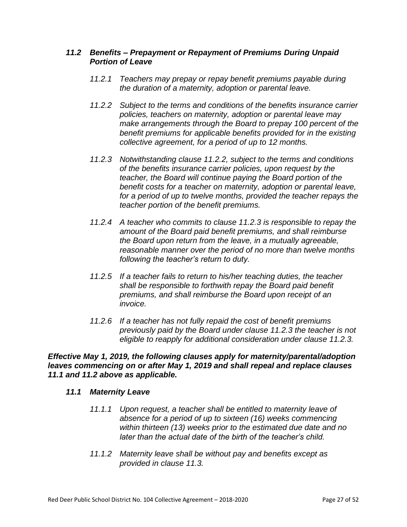#### *11.2 Benefits – Prepayment or Repayment of Premiums During Unpaid Portion of Leave*

- *11.2.1 Teachers may prepay or repay benefit premiums payable during the duration of a maternity, adoption or parental leave.*
- *11.2.2 Subject to the terms and conditions of the benefits insurance carrier policies, teachers on maternity, adoption or parental leave may make arrangements through the Board to prepay 100 percent of the benefit premiums for applicable benefits provided for in the existing collective agreement, for a period of up to 12 months.*
- *11.2.3 Notwithstanding clause 11.2.2, subject to the terms and conditions of the benefits insurance carrier policies, upon request by the teacher, the Board will continue paying the Board portion of the benefit costs for a teacher on maternity, adoption or parental leave, for a period of up to twelve months, provided the teacher repays the teacher portion of the benefit premiums.*
- *11.2.4 A teacher who commits to clause 11.2.3 is responsible to repay the amount of the Board paid benefit premiums, and shall reimburse the Board upon return from the leave, in a mutually agreeable, reasonable manner over the period of no more than twelve months following the teacher's return to duty.*
- *11.2.5 If a teacher fails to return to his/her teaching duties, the teacher shall be responsible to forthwith repay the Board paid benefit premiums, and shall reimburse the Board upon receipt of an invoice.*
- *11.2.6 If a teacher has not fully repaid the cost of benefit premiums previously paid by the Board under clause 11.2.3 the teacher is not eligible to reapply for additional consideration under clause 11.2.3.*

*Effective May 1, 2019, the following clauses apply for maternity/parental/adoption leaves commencing on or after May 1, 2019 and shall repeal and replace clauses 11.1 and 11.2 above as applicable.*

#### *11.1 Maternity Leave*

- *11.1.1 Upon request, a teacher shall be entitled to maternity leave of absence for a period of up to sixteen (16) weeks commencing within thirteen (13) weeks prior to the estimated due date and no later than the actual date of the birth of the teacher's child.*
- *11.1.2 Maternity leave shall be without pay and benefits except as provided in clause 11.3.*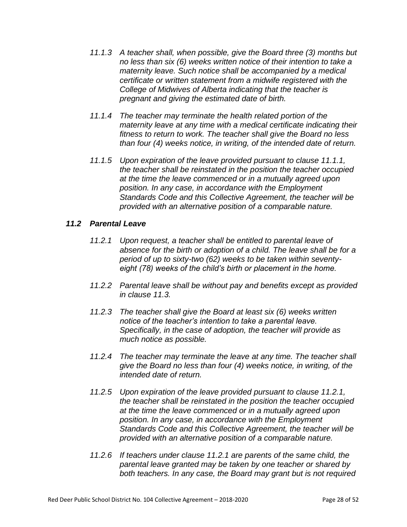- *11.1.3 A teacher shall, when possible, give the Board three (3) months but no less than six (6) weeks written notice of their intention to take a maternity leave. Such notice shall be accompanied by a medical certificate or written statement from a midwife registered with the College of Midwives of Alberta indicating that the teacher is pregnant and giving the estimated date of birth.*
- *11.1.4 The teacher may terminate the health related portion of the maternity leave at any time with a medical certificate indicating their fitness to return to work. The teacher shall give the Board no less than four (4) weeks notice, in writing, of the intended date of return.*
- *11.1.5 Upon expiration of the leave provided pursuant to clause 11.1.1, the teacher shall be reinstated in the position the teacher occupied at the time the leave commenced or in a mutually agreed upon position. In any case, in accordance with the Employment Standards Code and this Collective Agreement, the teacher will be provided with an alternative position of a comparable nature.*

#### *11.2 Parental Leave*

- *11.2.1 Upon request, a teacher shall be entitled to parental leave of absence for the birth or adoption of a child. The leave shall be for a period of up to sixty-two (62) weeks to be taken within seventyeight (78) weeks of the child's birth or placement in the home.*
- *11.2.2 Parental leave shall be without pay and benefits except as provided in clause 11.3.*
- *11.2.3 The teacher shall give the Board at least six (6) weeks written notice of the teacher's intention to take a parental leave. Specifically, in the case of adoption, the teacher will provide as much notice as possible.*
- *11.2.4 The teacher may terminate the leave at any time. The teacher shall give the Board no less than four (4) weeks notice, in writing, of the intended date of return.*
- *11.2.5 Upon expiration of the leave provided pursuant to clause 11.2.1, the teacher shall be reinstated in the position the teacher occupied at the time the leave commenced or in a mutually agreed upon position. In any case, in accordance with the Employment Standards Code and this Collective Agreement, the teacher will be provided with an alternative position of a comparable nature.*
- *11.2.6 If teachers under clause 11.2.1 are parents of the same child, the parental leave granted may be taken by one teacher or shared by both teachers. In any case, the Board may grant but is not required*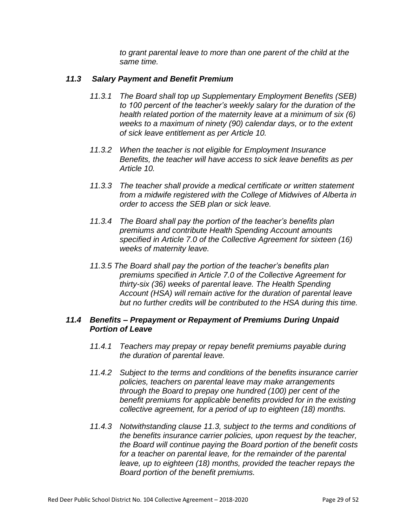*to grant parental leave to more than one parent of the child at the same time.*

#### *11.3 Salary Payment and Benefit Premium*

- *11.3.1 The Board shall top up Supplementary Employment Benefits (SEB) to 100 percent of the teacher's weekly salary for the duration of the health related portion of the maternity leave at a minimum of six (6) weeks to a maximum of ninety (90) calendar days, or to the extent of sick leave entitlement as per Article 10.*
- *11.3.2 When the teacher is not eligible for Employment Insurance Benefits, the teacher will have access to sick leave benefits as per Article 10.*
- *11.3.3 The teacher shall provide a medical certificate or written statement from a midwife registered with the College of Midwives of Alberta in order to access the SEB plan or sick leave.*
- *11.3.4 The Board shall pay the portion of the teacher's benefits plan premiums and contribute Health Spending Account amounts specified in Article 7.0 of the Collective Agreement for sixteen (16) weeks of maternity leave.*
- *11.3.5 The Board shall pay the portion of the teacher's benefits plan premiums specified in Article 7.0 of the Collective Agreement for thirty-six (36) weeks of parental leave. The Health Spending Account (HSA) will remain active for the duration of parental leave but no further credits will be contributed to the HSA during this time.*

#### *11.4 Benefits – Prepayment or Repayment of Premiums During Unpaid Portion of Leave*

- *11.4.1 Teachers may prepay or repay benefit premiums payable during the duration of parental leave.*
- *11.4.2 Subject to the terms and conditions of the benefits insurance carrier policies, teachers on parental leave may make arrangements through the Board to prepay one hundred (100) per cent of the benefit premiums for applicable benefits provided for in the existing collective agreement, for a period of up to eighteen (18) months.*
- *11.4.3 Notwithstanding clause 11.3, subject to the terms and conditions of the benefits insurance carrier policies, upon request by the teacher, the Board will continue paying the Board portion of the benefit costs for a teacher on parental leave, for the remainder of the parental leave, up to eighteen (18) months, provided the teacher repays the Board portion of the benefit premiums.*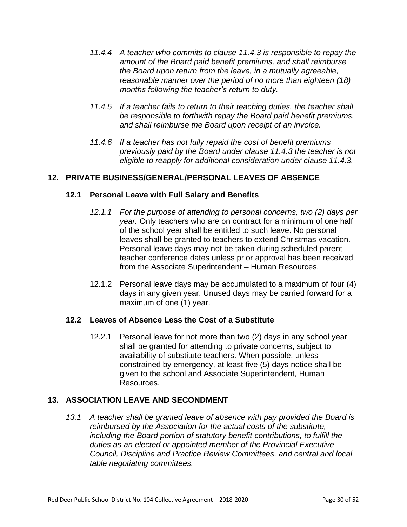- *11.4.4 A teacher who commits to clause 11.4.3 is responsible to repay the amount of the Board paid benefit premiums, and shall reimburse the Board upon return from the leave, in a mutually agreeable, reasonable manner over the period of no more than eighteen (18) months following the teacher's return to duty.*
- *11.4.5 If a teacher fails to return to their teaching duties, the teacher shall be responsible to forthwith repay the Board paid benefit premiums, and shall reimburse the Board upon receipt of an invoice.*
- *11.4.6 If a teacher has not fully repaid the cost of benefit premiums previously paid by the Board under clause 11.4.3 the teacher is not eligible to reapply for additional consideration under clause 11.4.3.*

#### **12. PRIVATE BUSINESS/GENERAL/PERSONAL LEAVES OF ABSENCE**

#### **12.1 Personal Leave with Full Salary and Benefits**

- *12.1.1 For the purpose of attending to personal concerns, two (2) days per year.* Only teachers who are on contract for a minimum of one half of the school year shall be entitled to such leave. No personal leaves shall be granted to teachers to extend Christmas vacation. Personal leave days may not be taken during scheduled parentteacher conference dates unless prior approval has been received from the Associate Superintendent – Human Resources.
- 12.1.2 Personal leave days may be accumulated to a maximum of four (4) days in any given year. Unused days may be carried forward for a maximum of one (1) year.

#### **12.2 Leaves of Absence Less the Cost of a Substitute**

12.2.1 Personal leave for not more than two (2) days in any school year shall be granted for attending to private concerns, subject to availability of substitute teachers. When possible, unless constrained by emergency, at least five (5) days notice shall be given to the school and Associate Superintendent, Human Resources.

#### **13. ASSOCIATION LEAVE AND SECONDMENT**

*13.1 A teacher shall be granted leave of absence with pay provided the Board is reimbursed by the Association for the actual costs of the substitute, including the Board portion of statutory benefit contributions, to fulfill the duties as an elected or appointed member of the Provincial Executive Council, Discipline and Practice Review Committees, and central and local table negotiating committees.*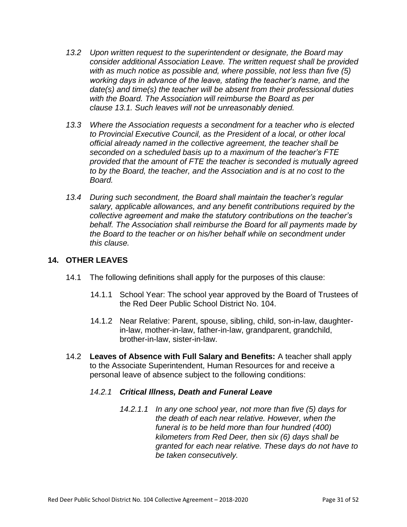- *13.2 Upon written request to the superintendent or designate, the Board may consider additional Association Leave. The written request shall be provided with as much notice as possible and, where possible, not less than five (5) working days in advance of the leave, stating the teacher's name, and the date(s) and time(s) the teacher will be absent from their professional duties with the Board. The Association will reimburse the Board as per clause 13.1. Such leaves will not be unreasonably denied.*
- *13.3 Where the Association requests a secondment for a teacher who is elected to Provincial Executive Council, as the President of a local, or other local official already named in the collective agreement, the teacher shall be seconded on a scheduled basis up to a maximum of the teacher's FTE provided that the amount of FTE the teacher is seconded is mutually agreed to by the Board, the teacher, and the Association and is at no cost to the Board.*
- *13.4 During such secondment, the Board shall maintain the teacher's regular salary, applicable allowances, and any benefit contributions required by the collective agreement and make the statutory contributions on the teacher's behalf. The Association shall reimburse the Board for all payments made by the Board to the teacher or on his/her behalf while on secondment under this clause.*

#### **14. OTHER LEAVES**

- 14.1 The following definitions shall apply for the purposes of this clause:
	- 14.1.1 School Year: The school year approved by the Board of Trustees of the Red Deer Public School District No. 104.
	- 14.1.2 Near Relative: Parent, spouse, sibling, child, son-in-law, daughterin-law, mother-in-law, father-in-law, grandparent, grandchild, brother-in-law, sister-in-law.
- 14.2 **Leaves of Absence with Full Salary and Benefits:** A teacher shall apply to the Associate Superintendent, Human Resources for and receive a personal leave of absence subject to the following conditions:

#### *14.2.1 Critical Illness, Death and Funeral Leave*

*14.2.1.1 In any one school year, not more than five (5) days for the death of each near relative. However, when the funeral is to be held more than four hundred (400) kilometers from Red Deer, then six (6) days shall be granted for each near relative. These days do not have to be taken consecutively.*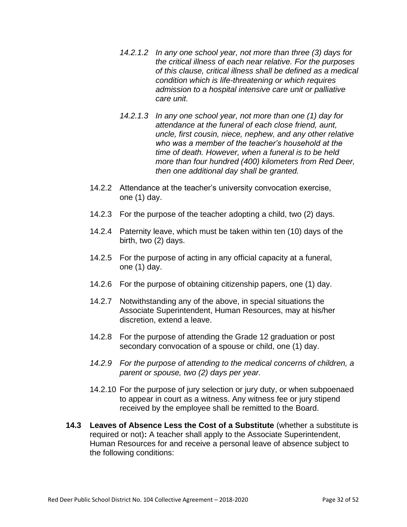- *14.2.1.2 In any one school year, not more than three (3) days for the critical illness of each near relative. For the purposes of this clause, critical illness shall be defined as a medical condition which is life-threatening or which requires admission to a hospital intensive care unit or palliative care unit.*
- *14.2.1.3 In any one school year, not more than one (1) day for attendance at the funeral of each close friend, aunt, uncle, first cousin, niece, nephew, and any other relative who was a member of the teacher's household at the time of death. However, when a funeral is to be held more than four hundred (400) kilometers from Red Deer, then one additional day shall be granted.*
- 14.2.2 Attendance at the teacher's university convocation exercise, one (1) day.
- 14.2.3 For the purpose of the teacher adopting a child, two (2) days.
- 14.2.4 Paternity leave, which must be taken within ten (10) days of the birth, two (2) days.
- 14.2.5 For the purpose of acting in any official capacity at a funeral, one (1) day.
- 14.2.6 For the purpose of obtaining citizenship papers, one (1) day.
- 14.2.7 Notwithstanding any of the above, in special situations the Associate Superintendent, Human Resources, may at his/her discretion, extend a leave.
- 14.2.8 For the purpose of attending the Grade 12 graduation or post secondary convocation of a spouse or child, one (1) day.
- *14.2.9 For the purpose of attending to the medical concerns of children, a parent or spouse, two (2) days per year.*
- 14.2.10 For the purpose of jury selection or jury duty, or when subpoenaed to appear in court as a witness. Any witness fee or jury stipend received by the employee shall be remitted to the Board.
- **14.3 Leaves of Absence Less the Cost of a Substitute** (whether a substitute is required or not)**:** A teacher shall apply to the Associate Superintendent, Human Resources for and receive a personal leave of absence subject to the following conditions: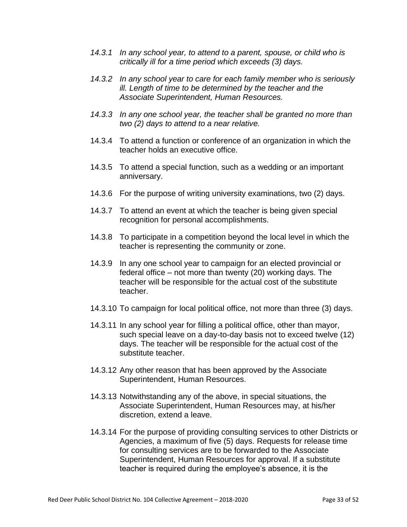- *14.3.1 In any school year, to attend to a parent, spouse, or child who is critically ill for a time period which exceeds (3) days.*
- *14.3.2 In any school year to care for each family member who is seriously ill. Length of time to be determined by the teacher and the Associate Superintendent, Human Resources.*
- *14.3.3 In any one school year, the teacher shall be granted no more than two (2) days to attend to a near relative.*
- 14.3.4 To attend a function or conference of an organization in which the teacher holds an executive office.
- 14.3.5 To attend a special function, such as a wedding or an important anniversary.
- 14.3.6 For the purpose of writing university examinations, two (2) days.
- 14.3.7 To attend an event at which the teacher is being given special recognition for personal accomplishments.
- 14.3.8 To participate in a competition beyond the local level in which the teacher is representing the community or zone.
- 14.3.9 In any one school year to campaign for an elected provincial or federal office – not more than twenty (20) working days. The teacher will be responsible for the actual cost of the substitute teacher.
- 14.3.10 To campaign for local political office, not more than three (3) days.
- 14.3.11 In any school year for filling a political office, other than mayor, such special leave on a day-to-day basis not to exceed twelve (12) days. The teacher will be responsible for the actual cost of the substitute teacher.
- 14.3.12 Any other reason that has been approved by the Associate Superintendent, Human Resources.
- 14.3.13 Notwithstanding any of the above, in special situations, the Associate Superintendent, Human Resources may, at his/her discretion, extend a leave.
- 14.3.14 For the purpose of providing consulting services to other Districts or Agencies, a maximum of five (5) days. Requests for release time for consulting services are to be forwarded to the Associate Superintendent, Human Resources for approval. If a substitute teacher is required during the employee's absence, it is the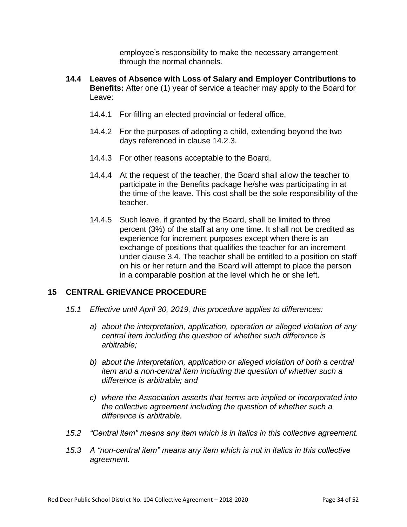employee's responsibility to make the necessary arrangement through the normal channels.

- **14.4 Leaves of Absence with Loss of Salary and Employer Contributions to Benefits:** After one (1) year of service a teacher may apply to the Board for Leave:
	- 14.4.1 For filling an elected provincial or federal office.
	- 14.4.2 For the purposes of adopting a child, extending beyond the two days referenced in clause 14.2.3.
	- 14.4.3 For other reasons acceptable to the Board.
	- 14.4.4 At the request of the teacher, the Board shall allow the teacher to participate in the Benefits package he/she was participating in at the time of the leave. This cost shall be the sole responsibility of the teacher.
	- 14.4.5 Such leave, if granted by the Board, shall be limited to three percent (3%) of the staff at any one time. It shall not be credited as experience for increment purposes except when there is an exchange of positions that qualifies the teacher for an increment under clause 3.4. The teacher shall be entitled to a position on staff on his or her return and the Board will attempt to place the person in a comparable position at the level which he or she left.

#### **15 CENTRAL GRIEVANCE PROCEDURE**

- *15.1 Effective until April 30, 2019, this procedure applies to differences:*
	- *a) about the interpretation, application, operation or alleged violation of any central item including the question of whether such difference is arbitrable;*
	- *b) about the interpretation, application or alleged violation of both a central item and a non-central item including the question of whether such a difference is arbitrable; and*
	- *c) where the Association asserts that terms are implied or incorporated into the collective agreement including the question of whether such a difference is arbitrable.*
- *15.2 "Central item" means any item which is in italics in this collective agreement.*
- *15.3 A "non-central item" means any item which is not in italics in this collective agreement.*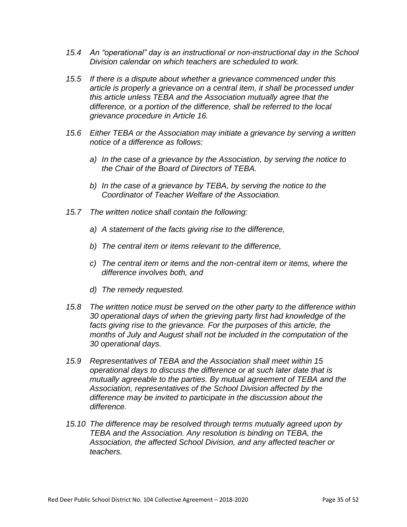- *15.4 An "operational" day is an instructional or non-instructional day in the School Division calendar on which teachers are scheduled to work.*
- *15.5 If there is a dispute about whether a grievance commenced under this article is properly a grievance on a central item, it shall be processed under this article unless TEBA and the Association mutually agree that the difference, or a portion of the difference, shall be referred to the local grievance procedure in Article 16.*
- *15.6 Either TEBA or the Association may initiate a grievance by serving a written notice of a difference as follows:*
	- *a) In the case of a grievance by the Association, by serving the notice to the Chair of the Board of Directors of TEBA.*
	- *b) In the case of a grievance by TEBA, by serving the notice to the Coordinator of Teacher Welfare of the Association.*
- *15.7 The written notice shall contain the following:*
	- *a) A statement of the facts giving rise to the difference,*
	- *b) The central item or items relevant to the difference,*
	- *c) The central item or items and the non-central item or items, where the difference involves both, and*
	- *d) The remedy requested.*
- *15.8 The written notice must be served on the other party to the difference within 30 operational days of when the grieving party first had knowledge of the facts giving rise to the grievance. For the purposes of this article, the months of July and August shall not be included in the computation of the 30 operational days.*
- *15.9 Representatives of TEBA and the Association shall meet within 15 operational days to discuss the difference or at such later date that is mutually agreeable to the parties. By mutual agreement of TEBA and the Association, representatives of the School Division affected by the difference may be invited to participate in the discussion about the difference.*
- *15.10 The difference may be resolved through terms mutually agreed upon by TEBA and the Association. Any resolution is binding on TEBA, the Association, the affected School Division, and any affected teacher or teachers.*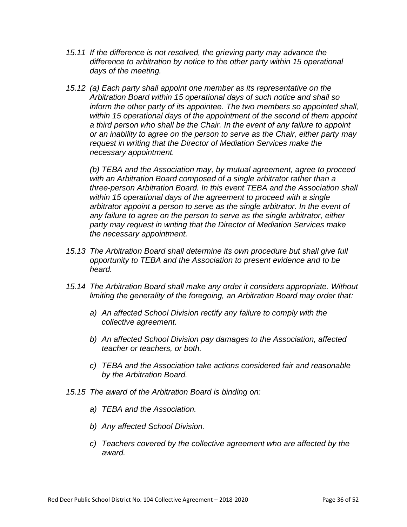- *15.11 If the difference is not resolved, the grieving party may advance the difference to arbitration by notice to the other party within 15 operational days of the meeting.*
- *15.12 (a) Each party shall appoint one member as its representative on the Arbitration Board within 15 operational days of such notice and shall so inform the other party of its appointee. The two members so appointed shall, within 15 operational days of the appointment of the second of them appoint a third person who shall be the Chair. In the event of any failure to appoint or an inability to agree on the person to serve as the Chair, either party may request in writing that the Director of Mediation Services make the necessary appointment.*

*(b) TEBA and the Association may, by mutual agreement, agree to proceed with an Arbitration Board composed of a single arbitrator rather than a three-person Arbitration Board. In this event TEBA and the Association shall within 15 operational days of the agreement to proceed with a single arbitrator appoint a person to serve as the single arbitrator. In the event of any failure to agree on the person to serve as the single arbitrator, either party may request in writing that the Director of Mediation Services make the necessary appointment.*

- *15.13 The Arbitration Board shall determine its own procedure but shall give full opportunity to TEBA and the Association to present evidence and to be heard.*
- *15.14 The Arbitration Board shall make any order it considers appropriate. Without limiting the generality of the foregoing, an Arbitration Board may order that:*
	- *a) An affected School Division rectify any failure to comply with the collective agreement.*
	- *b) An affected School Division pay damages to the Association, affected teacher or teachers, or both.*
	- *c) TEBA and the Association take actions considered fair and reasonable by the Arbitration Board.*
- *15.15 The award of the Arbitration Board is binding on:*
	- *a) TEBA and the Association.*
	- *b) Any affected School Division.*
	- *c) Teachers covered by the collective agreement who are affected by the award.*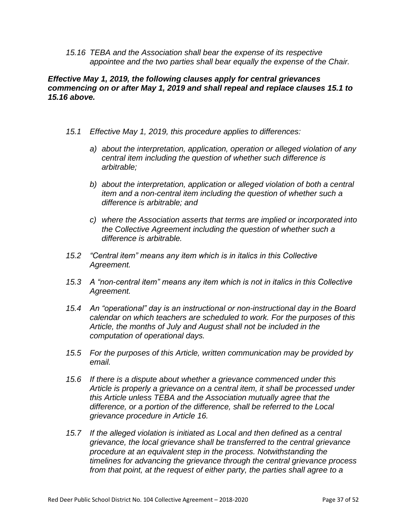*15.16 TEBA and the Association shall bear the expense of its respective appointee and the two parties shall bear equally the expense of the Chair.*

#### *Effective May 1, 2019, the following clauses apply for central grievances commencing on or after May 1, 2019 and shall repeal and replace clauses 15.1 to 15.16 above.*

- *15.1 Effective May 1, 2019, this procedure applies to differences:*
	- *a) about the interpretation, application, operation or alleged violation of any central item including the question of whether such difference is arbitrable;*
	- *b) about the interpretation, application or alleged violation of both a central item and a non-central item including the question of whether such a difference is arbitrable; and*
	- *c) where the Association asserts that terms are implied or incorporated into the Collective Agreement including the question of whether such a difference is arbitrable.*
- *15.2 "Central item" means any item which is in italics in this Collective Agreement.*
- *15.3 A "non-central item" means any item which is not in italics in this Collective Agreement.*
- *15.4 An "operational" day is an instructional or non-instructional day in the Board calendar on which teachers are scheduled to work. For the purposes of this Article, the months of July and August shall not be included in the computation of operational days.*
- *15.5 For the purposes of this Article, written communication may be provided by email.*
- *15.6 If there is a dispute about whether a grievance commenced under this Article is properly a grievance on a central item, it shall be processed under this Article unless TEBA and the Association mutually agree that the difference, or a portion of the difference, shall be referred to the Local grievance procedure in Article 16.*
- *15.7 If the alleged violation is initiated as Local and then defined as a central grievance, the local grievance shall be transferred to the central grievance procedure at an equivalent step in the process. Notwithstanding the timelines for advancing the grievance through the central grievance process from that point, at the request of either party, the parties shall agree to a*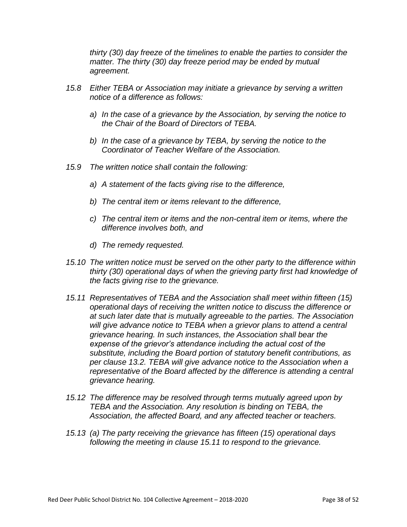*thirty (30) day freeze of the timelines to enable the parties to consider the matter. The thirty (30) day freeze period may be ended by mutual agreement.* 

- *15.8 Either TEBA or Association may initiate a grievance by serving a written notice of a difference as follows:*
	- *a) In the case of a grievance by the Association, by serving the notice to the Chair of the Board of Directors of TEBA.*
	- *b) In the case of a grievance by TEBA, by serving the notice to the Coordinator of Teacher Welfare of the Association.*
- *15.9 The written notice shall contain the following:*
	- *a) A statement of the facts giving rise to the difference,*
	- *b) The central item or items relevant to the difference,*
	- *c) The central item or items and the non-central item or items, where the difference involves both, and*
	- *d) The remedy requested.*
- *15.10 The written notice must be served on the other party to the difference within thirty (30) operational days of when the grieving party first had knowledge of the facts giving rise to the grievance.*
- *15.11 Representatives of TEBA and the Association shall meet within fifteen (15) operational days of receiving the written notice to discuss the difference or at such later date that is mutually agreeable to the parties. The Association will give advance notice to TEBA when a grievor plans to attend a central grievance hearing. In such instances, the Association shall bear the expense of the grievor's attendance including the actual cost of the substitute, including the Board portion of statutory benefit contributions, as per clause 13.2. TEBA will give advance notice to the Association when a representative of the Board affected by the difference is attending a central grievance hearing.*
- *15.12 The difference may be resolved through terms mutually agreed upon by TEBA and the Association. Any resolution is binding on TEBA, the Association, the affected Board, and any affected teacher or teachers.*
- *15.13 (a) The party receiving the grievance has fifteen (15) operational days following the meeting in clause 15.11 to respond to the grievance.*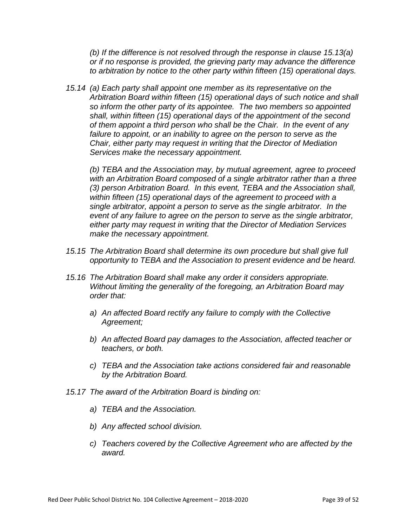*(b) If the difference is not resolved through the response in clause 15.13(a) or if no response is provided, the grieving party may advance the difference to arbitration by notice to the other party within fifteen (15) operational days.*

*15.14 (a) Each party shall appoint one member as its representative on the Arbitration Board within fifteen (15) operational days of such notice and shall so inform the other party of its appointee. The two members so appointed shall, within fifteen (15) operational days of the appointment of the second of them appoint a third person who shall be the Chair. In the event of any*  failure to appoint, or an inability to agree on the person to serve as the *Chair, either party may request in writing that the Director of Mediation Services make the necessary appointment.*

*(b) TEBA and the Association may, by mutual agreement, agree to proceed with an Arbitration Board composed of a single arbitrator rather than a three (3) person Arbitration Board. In this event, TEBA and the Association shall, within fifteen (15) operational days of the agreement to proceed with a single arbitrator, appoint a person to serve as the single arbitrator. In the event of any failure to agree on the person to serve as the single arbitrator, either party may request in writing that the Director of Mediation Services make the necessary appointment.*

- *15.15 The Arbitration Board shall determine its own procedure but shall give full opportunity to TEBA and the Association to present evidence and be heard.*
- *15.16 The Arbitration Board shall make any order it considers appropriate. Without limiting the generality of the foregoing, an Arbitration Board may order that:*
	- *a) An affected Board rectify any failure to comply with the Collective Agreement;*
	- *b) An affected Board pay damages to the Association, affected teacher or teachers, or both.*
	- *c) TEBA and the Association take actions considered fair and reasonable by the Arbitration Board.*
- *15.17 The award of the Arbitration Board is binding on:*
	- *a) TEBA and the Association.*
	- *b) Any affected school division.*
	- *c) Teachers covered by the Collective Agreement who are affected by the award.*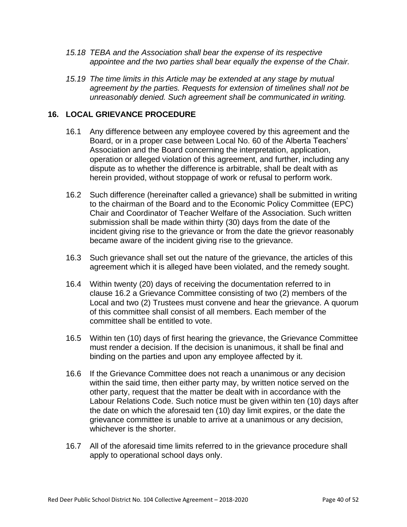- *15.18 TEBA and the Association shall bear the expense of its respective appointee and the two parties shall bear equally the expense of the Chair.*
- *15.19 The time limits in this Article may be extended at any stage by mutual agreement by the parties. Requests for extension of timelines shall not be unreasonably denied. Such agreement shall be communicated in writing.*

#### **16. LOCAL GRIEVANCE PROCEDURE**

- 16.1 Any difference between any employee covered by this agreement and the Board, or in a proper case between Local No. 60 of the Alberta Teachers' Association and the Board concerning the interpretation, application, operation or alleged violation of this agreement, and further, including any dispute as to whether the difference is arbitrable, shall be dealt with as herein provided, without stoppage of work or refusal to perform work.
- 16.2 Such difference (hereinafter called a grievance) shall be submitted in writing to the chairman of the Board and to the Economic Policy Committee (EPC) Chair and Coordinator of Teacher Welfare of the Association. Such written submission shall be made within thirty (30) days from the date of the incident giving rise to the grievance or from the date the grievor reasonably became aware of the incident giving rise to the grievance.
- 16.3 Such grievance shall set out the nature of the grievance, the articles of this agreement which it is alleged have been violated, and the remedy sought.
- 16.4 Within twenty (20) days of receiving the documentation referred to in clause 16.2 a Grievance Committee consisting of two (2) members of the Local and two (2) Trustees must convene and hear the grievance. A quorum of this committee shall consist of all members. Each member of the committee shall be entitled to vote.
- 16.5 Within ten (10) days of first hearing the grievance, the Grievance Committee must render a decision. If the decision is unanimous, it shall be final and binding on the parties and upon any employee affected by it.
- 16.6 If the Grievance Committee does not reach a unanimous or any decision within the said time, then either party may, by written notice served on the other party, request that the matter be dealt with in accordance with the Labour Relations Code. Such notice must be given within ten (10) days after the date on which the aforesaid ten (10) day limit expires, or the date the grievance committee is unable to arrive at a unanimous or any decision, whichever is the shorter.
- 16.7 All of the aforesaid time limits referred to in the grievance procedure shall apply to operational school days only.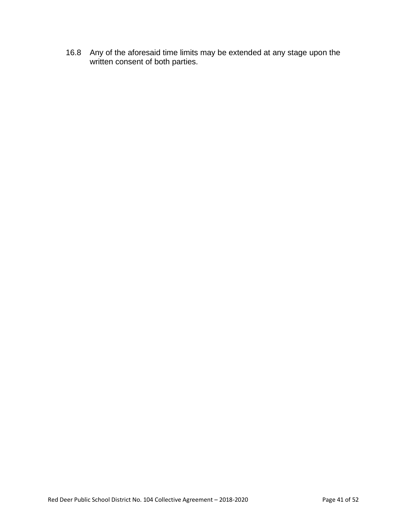16.8 Any of the aforesaid time limits may be extended at any stage upon the written consent of both parties.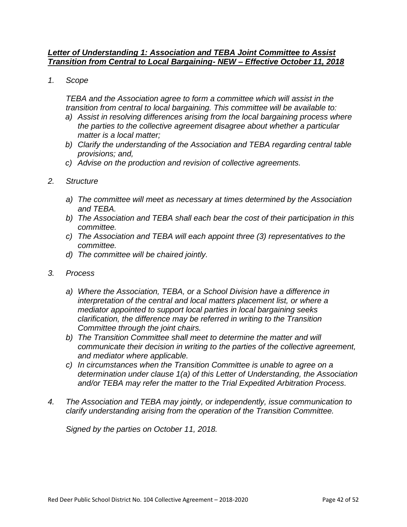#### *Letter of Understanding 1: Association and TEBA Joint Committee to Assist Transition from Central to Local Bargaining- NEW – Effective October 11, 2018*

*1. Scope*

*TEBA and the Association agree to form a committee which will assist in the transition from central to local bargaining. This committee will be available to:* 

- *a) Assist in resolving differences arising from the local bargaining process where the parties to the collective agreement disagree about whether a particular matter is a local matter;*
- *b) Clarify the understanding of the Association and TEBA regarding central table provisions; and,*
- *c) Advise on the production and revision of collective agreements.*
- *2. Structure*
	- *a) The committee will meet as necessary at times determined by the Association and TEBA.*
	- *b) The Association and TEBA shall each bear the cost of their participation in this committee.*
	- *c) The Association and TEBA will each appoint three (3) representatives to the committee.*
	- *d) The committee will be chaired jointly.*
- *3. Process*
	- *a) Where the Association, TEBA, or a School Division have a difference in interpretation of the central and local matters placement list, or where a mediator appointed to support local parties in local bargaining seeks clarification, the difference may be referred in writing to the Transition Committee through the joint chairs.*
	- *b) The Transition Committee shall meet to determine the matter and will communicate their decision in writing to the parties of the collective agreement, and mediator where applicable.*
	- *c) In circumstances when the Transition Committee is unable to agree on a determination under clause 1(a) of this Letter of Understanding, the Association and/or TEBA may refer the matter to the Trial Expedited Arbitration Process.*
- *4. The Association and TEBA may jointly, or independently, issue communication to clarify understanding arising from the operation of the Transition Committee.*

*Signed by the parties on October 11, 2018.*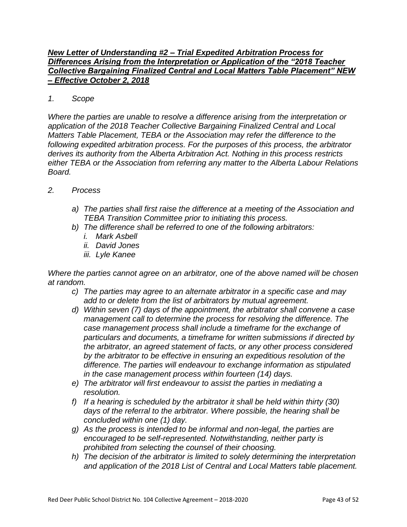#### *New Letter of Understanding #2 – Trial Expedited Arbitration Process for Differences Arising from the Interpretation or Application of the "2018 Teacher Collective Bargaining Finalized Central and Local Matters Table Placement" NEW – Effective October 2, 2018*

#### *1. Scope*

*Where the parties are unable to resolve a difference arising from the interpretation or application of the 2018 Teacher Collective Bargaining Finalized Central and Local Matters Table Placement, TEBA or the Association may refer the difference to the following expedited arbitration process. For the purposes of this process, the arbitrator derives its authority from the Alberta Arbitration Act. Nothing in this process restricts either TEBA or the Association from referring any matter to the Alberta Labour Relations Board.* 

#### *2. Process*

- *a) The parties shall first raise the difference at a meeting of the Association and TEBA Transition Committee prior to initiating this process.*
- *b) The difference shall be referred to one of the following arbitrators:*
	- *i. Mark Asbell*
	- *ii. David Jones*
	- *iii. Lyle Kanee*

*Where the parties cannot agree on an arbitrator, one of the above named will be chosen at random.*

- *c) The parties may agree to an alternate arbitrator in a specific case and may add to or delete from the list of arbitrators by mutual agreement.*
- *d) Within seven (7) days of the appointment, the arbitrator shall convene a case management call to determine the process for resolving the difference. The case management process shall include a timeframe for the exchange of particulars and documents, a timeframe for written submissions if directed by the arbitrator, an agreed statement of facts, or any other process considered by the arbitrator to be effective in ensuring an expeditious resolution of the difference. The parties will endeavour to exchange information as stipulated in the case management process within fourteen (14) days.*
- *e) The arbitrator will first endeavour to assist the parties in mediating a resolution.*
- *f) If a hearing is scheduled by the arbitrator it shall be held within thirty (30) days of the referral to the arbitrator. Where possible, the hearing shall be concluded within one (1) day.*
- *g) As the process is intended to be informal and non-legal, the parties are encouraged to be self-represented. Notwithstanding, neither party is prohibited from selecting the counsel of their choosing.*
- *h) The decision of the arbitrator is limited to solely determining the interpretation and application of the 2018 List of Central and Local Matters table placement.*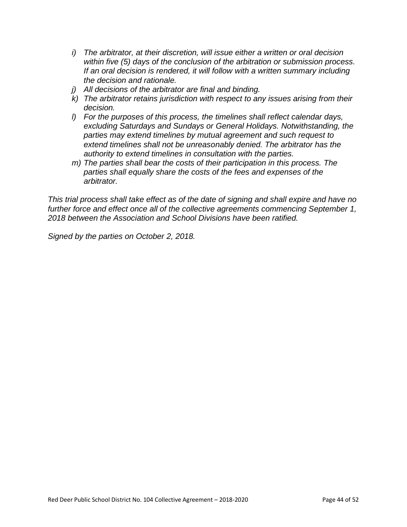- *i) The arbitrator, at their discretion, will issue either a written or oral decision within five (5) days of the conclusion of the arbitration or submission process. If an oral decision is rendered, it will follow with a written summary including the decision and rationale.*
- *j) All decisions of the arbitrator are final and binding.*
- *k) The arbitrator retains jurisdiction with respect to any issues arising from their decision.*
- *l) For the purposes of this process, the timelines shall reflect calendar days, excluding Saturdays and Sundays or General Holidays. Notwithstanding, the parties may extend timelines by mutual agreement and such request to extend timelines shall not be unreasonably denied. The arbitrator has the authority to extend timelines in consultation with the parties.*
- *m) The parties shall bear the costs of their participation in this process. The parties shall equally share the costs of the fees and expenses of the arbitrator.*

*This trial process shall take effect as of the date of signing and shall expire and have no further force and effect once all of the collective agreements commencing September 1, 2018 between the Association and School Divisions have been ratified.*

*Signed by the parties on October 2, 2018.*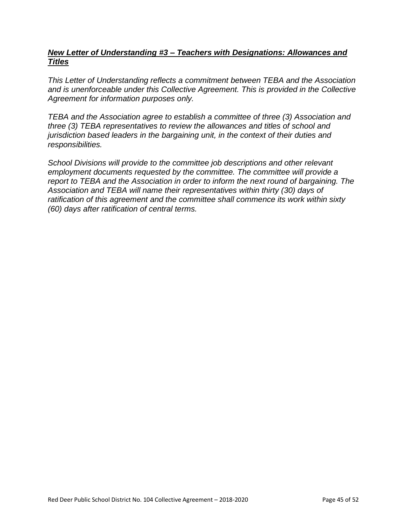#### *New Letter of Understanding #3 – Teachers with Designations: Allowances and Titles*

*This Letter of Understanding reflects a commitment between TEBA and the Association and is unenforceable under this Collective Agreement. This is provided in the Collective Agreement for information purposes only.*

*TEBA and the Association agree to establish a committee of three (3) Association and three (3) TEBA representatives to review the allowances and titles of school and jurisdiction based leaders in the bargaining unit, in the context of their duties and responsibilities.* 

*School Divisions will provide to the committee job descriptions and other relevant employment documents requested by the committee. The committee will provide a report to TEBA and the Association in order to inform the next round of bargaining. The Association and TEBA will name their representatives within thirty (30) days of ratification of this agreement and the committee shall commence its work within sixty (60) days after ratification of central terms.*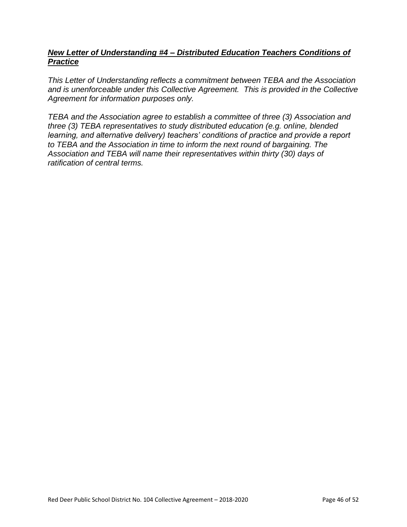#### *New Letter of Understanding #4 – Distributed Education Teachers Conditions of Practice*

*This Letter of Understanding reflects a commitment between TEBA and the Association and is unenforceable under this Collective Agreement. This is provided in the Collective Agreement for information purposes only.*

*TEBA and the Association agree to establish a committee of three (3) Association and three (3) TEBA representatives to study distributed education (e.g. online, blended learning, and alternative delivery) teachers' conditions of practice and provide a report to TEBA and the Association in time to inform the next round of bargaining. The Association and TEBA will name their representatives within thirty (30) days of ratification of central terms.*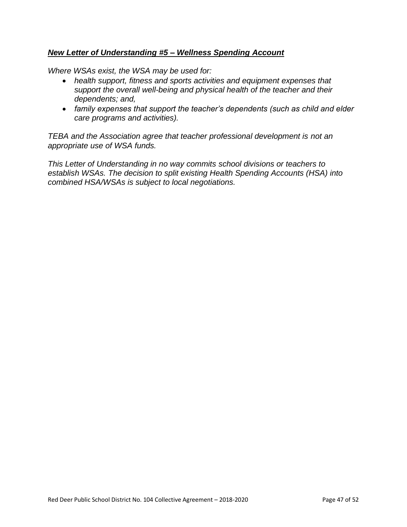#### *New Letter of Understanding #5 – Wellness Spending Account*

*Where WSAs exist, the WSA may be used for:*

- *health support, fitness and sports activities and equipment expenses that support the overall well-being and physical health of the teacher and their dependents; and,*
- *family expenses that support the teacher's dependents (such as child and elder care programs and activities).*

*TEBA and the Association agree that teacher professional development is not an appropriate use of WSA funds.*

*This Letter of Understanding in no way commits school divisions or teachers to establish WSAs. The decision to split existing Health Spending Accounts (HSA) into combined HSA/WSAs is subject to local negotiations.*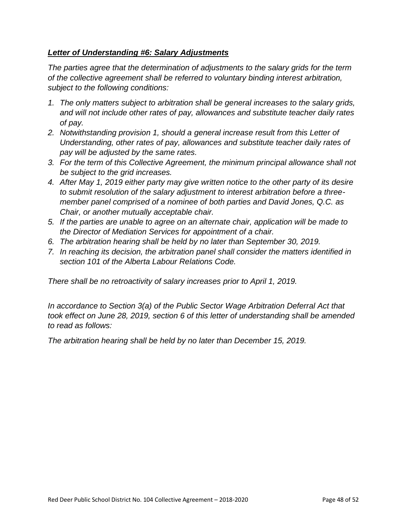#### *Letter of Understanding #6: Salary Adjustments*

*The parties agree that the determination of adjustments to the salary grids for the term of the collective agreement shall be referred to voluntary binding interest arbitration, subject to the following conditions:*

- *1. The only matters subject to arbitration shall be general increases to the salary grids, and will not include other rates of pay, allowances and substitute teacher daily rates of pay.*
- *2. Notwithstanding provision 1, should a general increase result from this Letter of Understanding, other rates of pay, allowances and substitute teacher daily rates of pay will be adjusted by the same rates.*
- *3. For the term of this Collective Agreement, the minimum principal allowance shall not be subject to the grid increases.*
- *4. After May 1, 2019 either party may give written notice to the other party of its desire to submit resolution of the salary adjustment to interest arbitration before a threemember panel comprised of a nominee of both parties and David Jones, Q.C. as Chair, or another mutually acceptable chair.*
- *5. If the parties are unable to agree on an alternate chair, application will be made to the Director of Mediation Services for appointment of a chair.*
- *6. The arbitration hearing shall be held by no later than September 30, 2019.*
- *7. In reaching its decision, the arbitration panel shall consider the matters identified in section 101 of the Alberta Labour Relations Code.*

*There shall be no retroactivity of salary increases prior to April 1, 2019.*

*In accordance to Section 3(a) of the Public Sector Wage Arbitration Deferral Act that took effect on June 28, 2019, section 6 of this letter of understanding shall be amended to read as follows:*

*The arbitration hearing shall be held by no later than December 15, 2019.*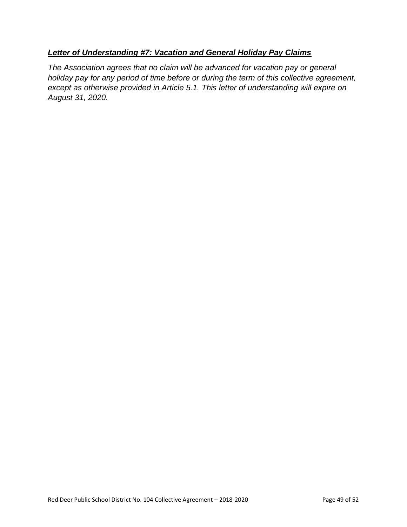#### *Letter of Understanding #7: Vacation and General Holiday Pay Claims*

*The Association agrees that no claim will be advanced for vacation pay or general holiday pay for any period of time before or during the term of this collective agreement, except as otherwise provided in Article 5.1. This letter of understanding will expire on August 31, 2020.*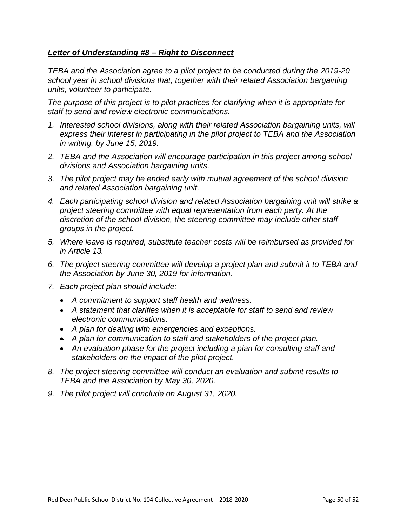#### *Letter of Understanding #8 – Right to Disconnect*

*TEBA and the Association agree to a pilot project to be conducted during the 2019-20 school year in school divisions that, together with their related Association bargaining units, volunteer to participate.* 

*The purpose of this project is to pilot practices for clarifying when it is appropriate for staff to send and review electronic communications.*

- *1. Interested school divisions, along with their related Association bargaining units, will express their interest in participating in the pilot project to TEBA and the Association in writing, by June 15, 2019.*
- *2. TEBA and the Association will encourage participation in this project among school divisions and Association bargaining units.*
- *3. The pilot project may be ended early with mutual agreement of the school division and related Association bargaining unit.*
- *4. Each participating school division and related Association bargaining unit will strike a project steering committee with equal representation from each party. At the discretion of the school division, the steering committee may include other staff groups in the project.*
- *5. Where leave is required, substitute teacher costs will be reimbursed as provided for in Article 13.*
- *6. The project steering committee will develop a project plan and submit it to TEBA and the Association by June 30, 2019 for information.*
- *7. Each project plan should include:* 
	- *A commitment to support staff health and wellness.*
	- *A statement that clarifies when it is acceptable for staff to send and review electronic communications.*
	- *A plan for dealing with emergencies and exceptions.*
	- *A plan for communication to staff and stakeholders of the project plan.*
	- *An evaluation phase for the project including a plan for consulting staff and stakeholders on the impact of the pilot project.*
- *8. The project steering committee will conduct an evaluation and submit results to TEBA and the Association by May 30, 2020.*
- *9. The pilot project will conclude on August 31, 2020.*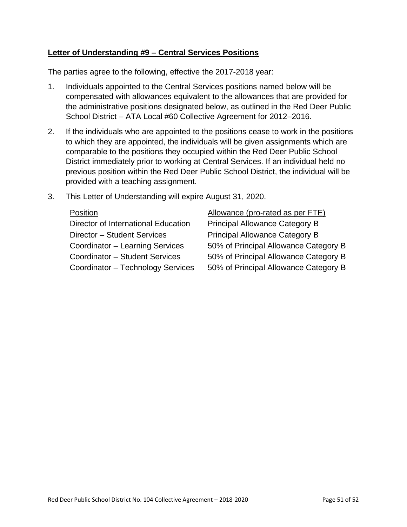#### **Letter of Understanding #9 – Central Services Positions**

The parties agree to the following, effective the 2017-2018 year:

- 1. Individuals appointed to the Central Services positions named below will be compensated with allowances equivalent to the allowances that are provided for the administrative positions designated below, as outlined in the Red Deer Public School District – ATA Local #60 Collective Agreement for 2012–2016.
- 2. If the individuals who are appointed to the positions cease to work in the positions to which they are appointed, the individuals will be given assignments which are comparable to the positions they occupied within the Red Deer Public School District immediately prior to working at Central Services. If an individual held no previous position within the Red Deer Public School District, the individual will be provided with a teaching assignment.
- 3. This Letter of Understanding will expire August 31, 2020.

| Director of International Education   |
|---------------------------------------|
| Director - Student Services           |
| Coordinator - Learning Services       |
| <b>Coordinator - Student Services</b> |
| Coordinator - Technology Services     |

Position Allowance (pro-rated as per FTE) Principal Allowance Category B Principal Allowance Category B 50% of Principal Allowance Category B 50% of Principal Allowance Category B 50% of Principal Allowance Category B